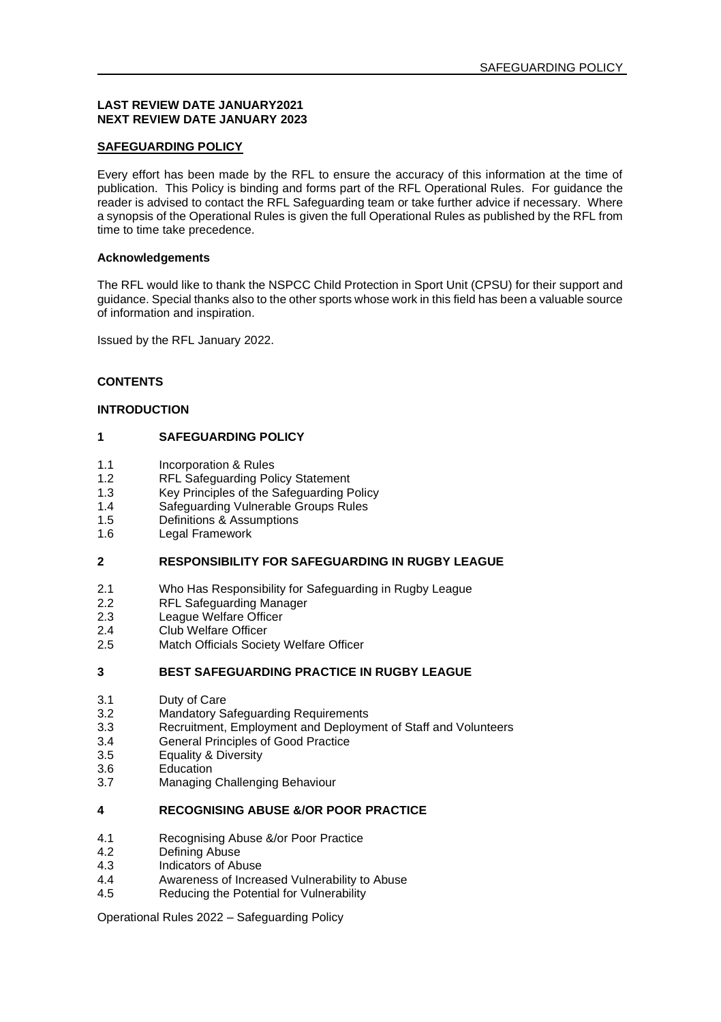#### **LAST REVIEW DATE JANUARY2021 NEXT REVIEW DATE JANUARY 2023**

## **SAFEGUARDING POLICY**

Every effort has been made by the RFL to ensure the accuracy of this information at the time of publication. This Policy is binding and forms part of the RFL Operational Rules. For guidance the reader is advised to contact the RFL Safeguarding team or take further advice if necessary. Where a synopsis of the Operational Rules is given the full Operational Rules as published by the RFL from time to time take precedence.

## **Acknowledgements**

The RFL would like to thank the NSPCC Child Protection in Sport Unit (CPSU) for their support and guidance. Special thanks also to the other sports whose work in this field has been a valuable source of information and inspiration.

Issued by the RFL January 2022.

#### **CONTENTS**

## **INTRODUCTION**

### **1 SAFEGUARDING POLICY**

- 1.1 Incorporation & Rules<br>1.2 REL Safeguarding Pol
- 1.2 RFL Safeguarding Policy Statement<br>1.3 Key Principles of the Safeguarding F
- 1.3 Key Principles of the Safeguarding Policy<br>1.4 Safeguarding Vulnerable Groups Rules
- 1.4 Safeguarding Vulnerable Groups Rules<br>1.5 Definitions & Assumptions
- 1.5 Definitions & Assumptions<br>1.6 Legal Framework
- Legal Framework

#### **2 RESPONSIBILITY FOR SAFEGUARDING IN RUGBY LEAGUE**

- 2.1 Who Has Responsibility for Safeguarding in Rugby League<br>2.2 REL Safeguarding Manager
- RFL Safeguarding Manager
- 2.3 League Welfare Officer<br>2.4 Club Welfare Officer
- 2.4 Club Welfare Officer<br>2.5 Match Officials Socie
- Match Officials Society Welfare Officer

### **3 BEST SAFEGUARDING PRACTICE IN RUGBY LEAGUE**

- 3.1 Duty of Care<br>3.2 Mandatory S
- 3.2 Mandatory Safeguarding Requirements<br>3.3 Recruitment Employment and Deploym
- 3.3 Recruitment, Employment and Deployment of Staff and Volunteers
- 3.4 General Principles of Good Practice<br>3.5 Fouality & Diversity
- Equality & Diversity
- 3.6 Education<br>3.7 Managing
- Managing Challenging Behaviour

#### **4 RECOGNISING ABUSE &/OR POOR PRACTICE**

- 4.1 Recognising Abuse &/or Poor Practice
- 4.2 Defining Abuse<br>4.3 Indicators of Ab
- 4.3 Indicators of Abuse
- 4.4 Awareness of Increased Vulnerability to Abuse<br>4.5 Reducing the Potential for Vulnerability
- Reducing the Potential for Vulnerability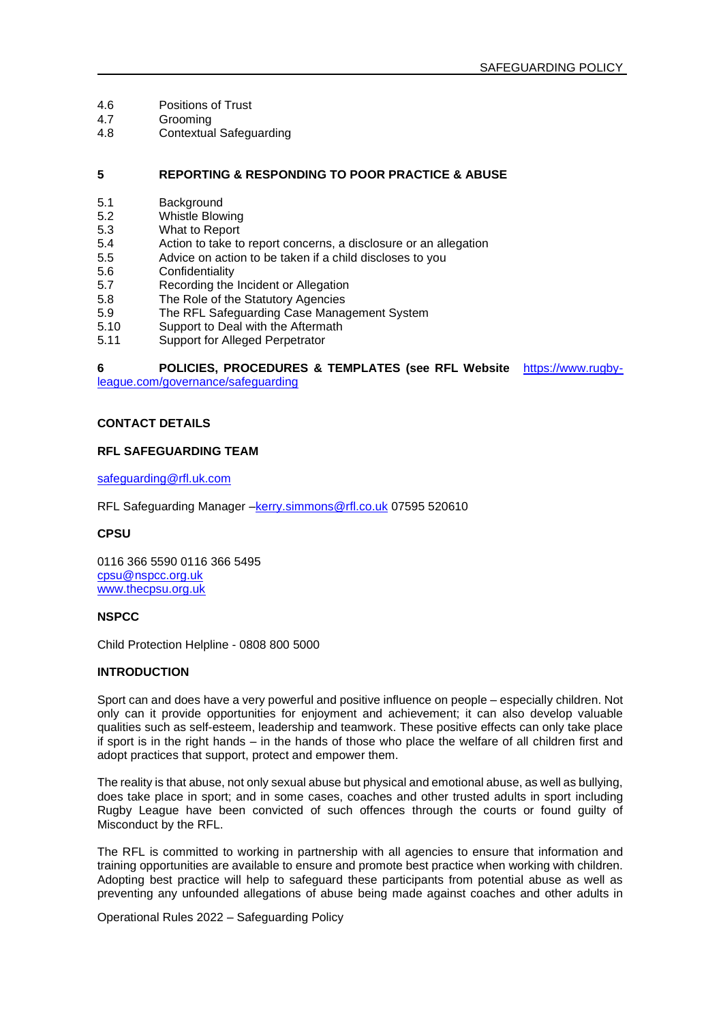- 4.6 Positions of Trust<br>4.7 Grooming
- 4.7 Grooming<br>4.8 Contextua
- Contextual Safeguarding

#### **5 REPORTING & RESPONDING TO POOR PRACTICE & ABUSE**

- 5.1 Background<br>5.2 Whistle Blow
- 5.2 Whistle Blowing<br>5.3 What to Report
- 5.3 What to Report
- 5.4 Action to take to report concerns, a disclosure or an allegation<br>5.5 Advice on action to be taken if a child discloses to you
- 5.5 Advice on action to be taken if a child discloses to you
- 5.6 Confidentiality<br>5.7 Recording the
- 5.7 Recording the Incident or Allegation<br>5.8 The Role of the Statutory Agencies
- 5.8 The Role of the Statutory Agencies<br>5.9 The REL Safeguarding Case Mana
- 5.9 The RFL Safeguarding Case Management System<br>5.10 Support to Deal with the Aftermath
- 5.10 Support to Deal with the Aftermath<br>5.11 Support for Alleged Perpetrator
- Support for Alleged Perpetrator

### **6 POLICIES, PROCEDURES & TEMPLATES (see RFL Website** [https://www.rugby-](https://www.rugby-league.com/governance/safeguarding)

[league.com/governance/safeguarding](https://www.rugby-league.com/governance/safeguarding)

### **CONTACT DETAILS**

### **RFL SAFEGUARDING TEAM**

[safeguarding@rfl.uk.com](mailto:safeguarding@rfl.uk.com)

RFL Safeguarding Manager -kerry.simmons@rfl.co.uk 07595 520610

#### **CPSU**

0116 366 5590 0116 366 5495 [cpsu@nspcc.org.uk](mailto:cpsu@nspcc.org.uk) [www.thecpsu.org.uk](http://www.thecpsu.org.uk/)

#### **NSPCC**

Child Protection Helpline - 0808 800 5000

### **INTRODUCTION**

Sport can and does have a very powerful and positive influence on people – especially children. Not only can it provide opportunities for enjoyment and achievement; it can also develop valuable qualities such as self-esteem, leadership and teamwork. These positive effects can only take place if sport is in the right hands – in the hands of those who place the welfare of all children first and adopt practices that support, protect and empower them.

The reality is that abuse, not only sexual abuse but physical and emotional abuse, as well as bullying, does take place in sport; and in some cases, coaches and other trusted adults in sport including Rugby League have been convicted of such offences through the courts or found guilty of Misconduct by the RFL.

The RFL is committed to working in partnership with all agencies to ensure that information and training opportunities are available to ensure and promote best practice when working with children. Adopting best practice will help to safeguard these participants from potential abuse as well as preventing any unfounded allegations of abuse being made against coaches and other adults in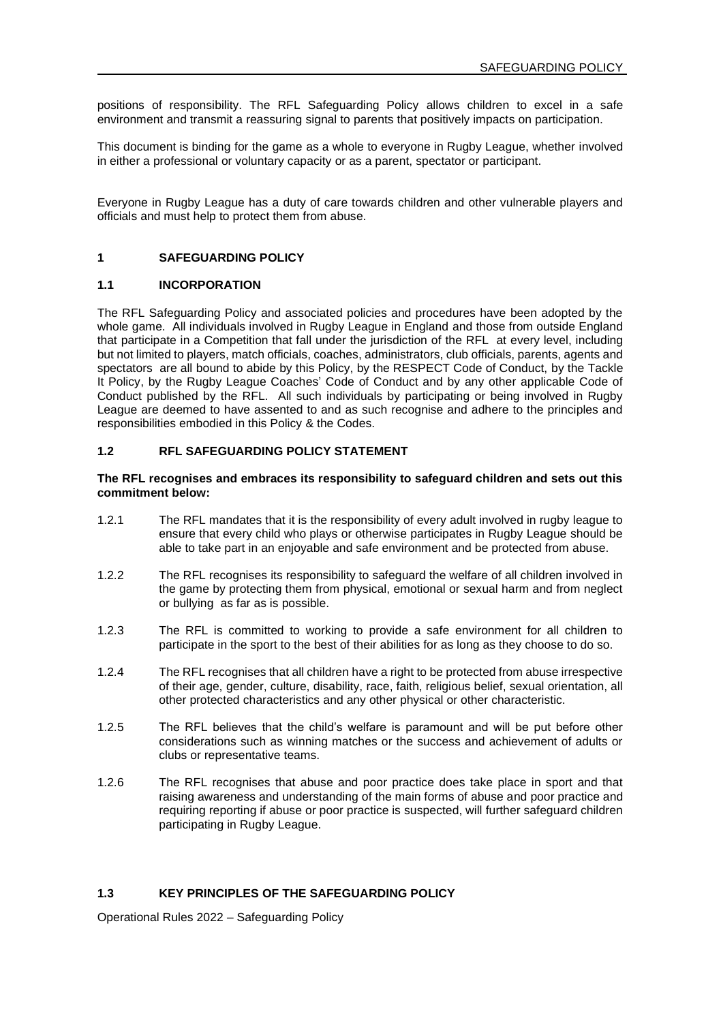positions of responsibility. The RFL Safeguarding Policy allows children to excel in a safe environment and transmit a reassuring signal to parents that positively impacts on participation.

This document is binding for the game as a whole to everyone in Rugby League, whether involved in either a professional or voluntary capacity or as a parent, spectator or participant.

Everyone in Rugby League has a duty of care towards children and other vulnerable players and officials and must help to protect them from abuse.

#### **1 SAFEGUARDING POLICY**

#### **1.1 INCORPORATION**

The RFL Safeguarding Policy and associated policies and procedures have been adopted by the whole game. All individuals involved in Rugby League in England and those from outside England that participate in a Competition that fall under the jurisdiction of the RFL at every level, including but not limited to players, match officials, coaches, administrators, club officials, parents, agents and spectators are all bound to abide by this Policy, by the RESPECT Code of Conduct, by the Tackle It Policy, by the Rugby League Coaches' Code of Conduct and by any other applicable Code of Conduct published by the RFL. All such individuals by participating or being involved in Rugby League are deemed to have assented to and as such recognise and adhere to the principles and responsibilities embodied in this Policy & the Codes.

#### **1.2 RFL SAFEGUARDING POLICY STATEMENT**

#### **The RFL recognises and embraces its responsibility to safeguard children and sets out this commitment below:**

- 1.2.1 The RFL mandates that it is the responsibility of every adult involved in rugby league to ensure that every child who plays or otherwise participates in Rugby League should be able to take part in an enjoyable and safe environment and be protected from abuse.
- 1.2.2 The RFL recognises its responsibility to safeguard the welfare of all children involved in the game by protecting them from physical, emotional or sexual harm and from neglect or bullying as far as is possible.
- 1.2.3 The RFL is committed to working to provide a safe environment for all children to participate in the sport to the best of their abilities for as long as they choose to do so.
- 1.2.4 The RFL recognises that all children have a right to be protected from abuse irrespective of their age, gender, culture, disability, race, faith, religious belief, sexual orientation, all other protected characteristics and any other physical or other characteristic.
- 1.2.5 The RFL believes that the child's welfare is paramount and will be put before other considerations such as winning matches or the success and achievement of adults or clubs or representative teams.
- 1.2.6 The RFL recognises that abuse and poor practice does take place in sport and that raising awareness and understanding of the main forms of abuse and poor practice and requiring reporting if abuse or poor practice is suspected, will further safeguard children participating in Rugby League.

#### **1.3 KEY PRINCIPLES OF THE SAFEGUARDING POLICY**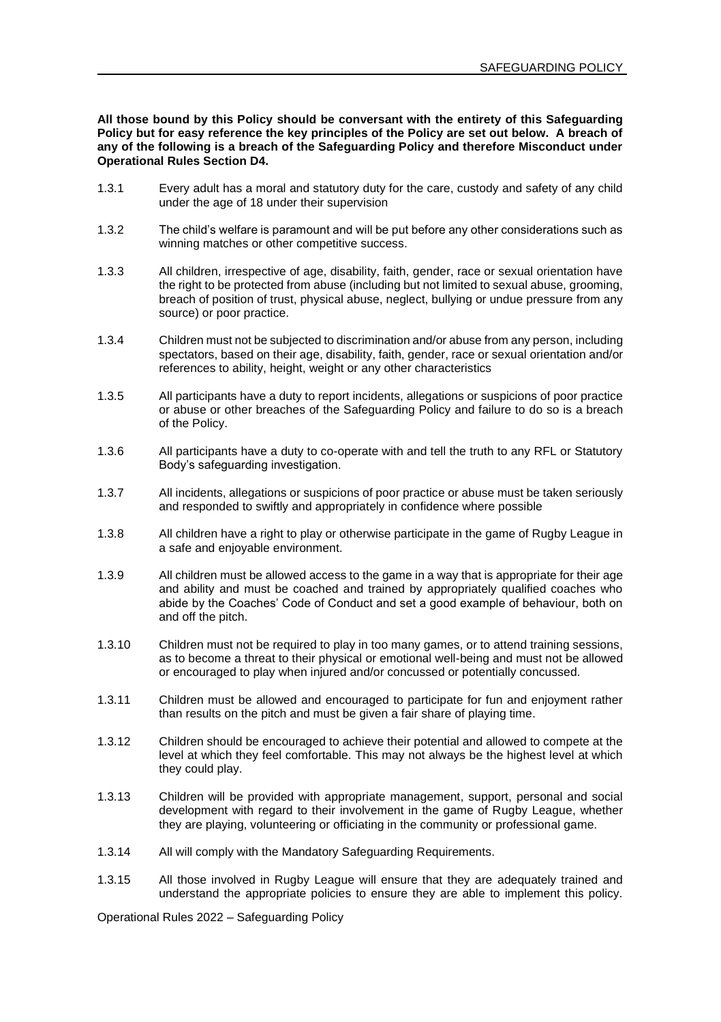**All those bound by this Policy should be conversant with the entirety of this Safeguarding Policy but for easy reference the key principles of the Policy are set out below. A breach of any of the following is a breach of the Safeguarding Policy and therefore Misconduct under Operational Rules Section D4.**

- 1.3.1 Every adult has a moral and statutory duty for the care, custody and safety of any child under the age of 18 under their supervision
- 1.3.2 The child's welfare is paramount and will be put before any other considerations such as winning matches or other competitive success.
- 1.3.3 All children, irrespective of age, disability, faith, gender, race or sexual orientation have the right to be protected from abuse (including but not limited to sexual abuse, grooming, breach of position of trust, physical abuse, neglect, bullying or undue pressure from any source) or poor practice.
- 1.3.4 Children must not be subjected to discrimination and/or abuse from any person, including spectators, based on their age, disability, faith, gender, race or sexual orientation and/or references to ability, height, weight or any other characteristics
- 1.3.5 All participants have a duty to report incidents, allegations or suspicions of poor practice or abuse or other breaches of the Safeguarding Policy and failure to do so is a breach of the Policy.
- 1.3.6 All participants have a duty to co-operate with and tell the truth to any RFL or Statutory Body's safeguarding investigation.
- 1.3.7 All incidents, allegations or suspicions of poor practice or abuse must be taken seriously and responded to swiftly and appropriately in confidence where possible
- 1.3.8 All children have a right to play or otherwise participate in the game of Rugby League in a safe and enjoyable environment.
- 1.3.9 All children must be allowed access to the game in a way that is appropriate for their age and ability and must be coached and trained by appropriately qualified coaches who abide by the Coaches' Code of Conduct and set a good example of behaviour, both on and off the pitch.
- 1.3.10 Children must not be required to play in too many games, or to attend training sessions, as to become a threat to their physical or emotional well-being and must not be allowed or encouraged to play when injured and/or concussed or potentially concussed.
- 1.3.11 Children must be allowed and encouraged to participate for fun and enjoyment rather than results on the pitch and must be given a fair share of playing time.
- 1.3.12 Children should be encouraged to achieve their potential and allowed to compete at the level at which they feel comfortable. This may not always be the highest level at which they could play.
- 1.3.13 Children will be provided with appropriate management, support, personal and social development with regard to their involvement in the game of Rugby League, whether they are playing, volunteering or officiating in the community or professional game.
- 1.3.14 All will comply with the Mandatory Safeguarding Requirements.
- 1.3.15 All those involved in Rugby League will ensure that they are adequately trained and understand the appropriate policies to ensure they are able to implement this policy.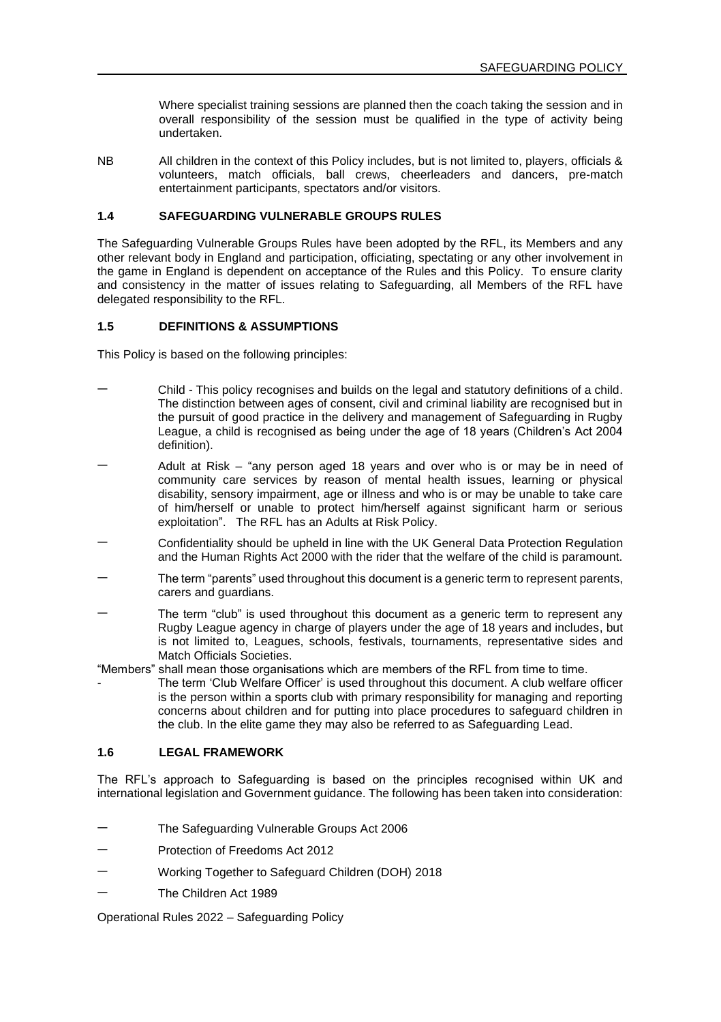Where specialist training sessions are planned then the coach taking the session and in overall responsibility of the session must be qualified in the type of activity being undertaken.

NB All children in the context of this Policy includes, but is not limited to, players, officials & volunteers, match officials, ball crews, cheerleaders and dancers, pre-match entertainment participants, spectators and/or visitors.

## **1.4 SAFEGUARDING VULNERABLE GROUPS RULES**

The Safeguarding Vulnerable Groups Rules have been adopted by the RFL, its Members and any other relevant body in England and participation, officiating, spectating or any other involvement in the game in England is dependent on acceptance of the Rules and this Policy. To ensure clarity and consistency in the matter of issues relating to Safeguarding, all Members of the RFL have delegated responsibility to the RFL.

#### **1.5 DEFINITIONS & ASSUMPTIONS**

This Policy is based on the following principles:

- − Child This policy recognises and builds on the legal and statutory definitions of a child. The distinction between ages of consent, civil and criminal liability are recognised but in the pursuit of good practice in the delivery and management of Safeguarding in Rugby League, a child is recognised as being under the age of 18 years (Children's Act 2004 definition).
- Adult at Risk "any person aged 18 years and over who is or may be in need of community care services by reason of mental health issues, learning or physical disability, sensory impairment, age or illness and who is or may be unable to take care of him/herself or unable to protect him/herself against significant harm or serious exploitation". The RFL has an Adults at Risk Policy.
- − Confidentiality should be upheld in line with the UK General Data Protection Regulation and the Human Rights Act 2000 with the rider that the welfare of the child is paramount.
- The term "parents" used throughout this document is a generic term to represent parents, carers and guardians.
- The term "club" is used throughout this document as a generic term to represent any Rugby League agency in charge of players under the age of 18 years and includes, but is not limited to, Leagues, schools, festivals, tournaments, representative sides and Match Officials Societies.
- "Members" shall mean those organisations which are members of the RFL from time to time.
- The term 'Club Welfare Officer' is used throughout this document. A club welfare officer is the person within a sports club with primary responsibility for managing and reporting concerns about children and for putting into place procedures to safeguard children in the club. In the elite game they may also be referred to as Safeguarding Lead.

### **1.6 LEGAL FRAMEWORK**

The RFL's approach to Safeguarding is based on the principles recognised within UK and international legislation and Government guidance. The following has been taken into consideration:

- − The Safeguarding Vulnerable Groups Act 2006
- − Protection of Freedoms Act 2012
- − Working Together to Safeguard Children (DOH) 2018
- The Children Act 1989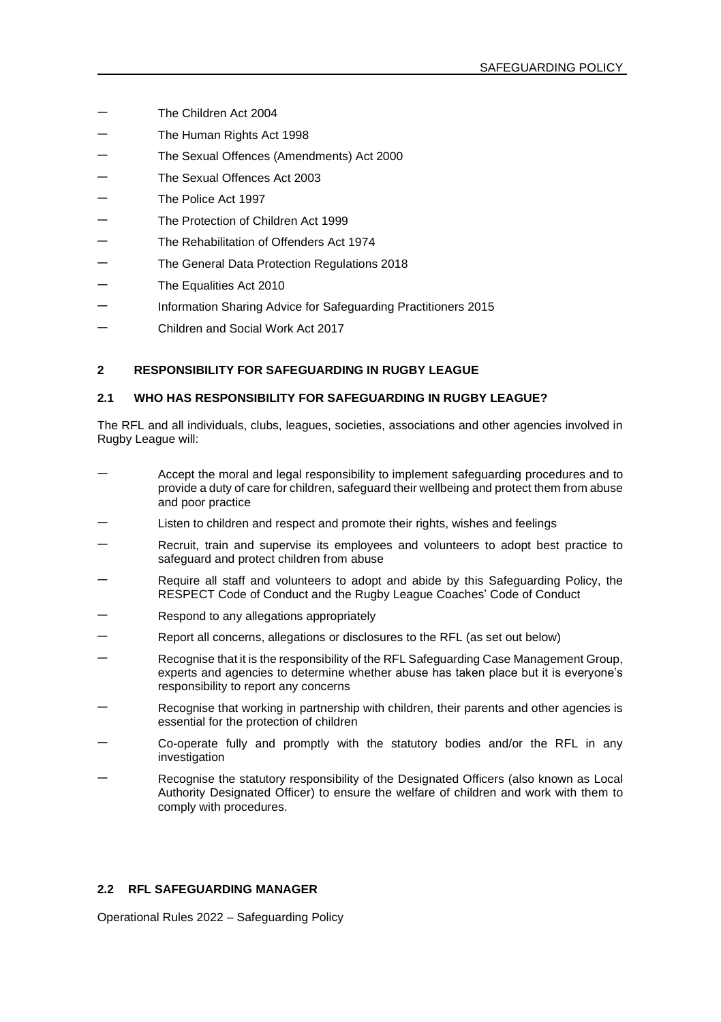- − The Children Act 2004
- The Human Rights Act 1998
- − The Sexual Offences (Amendments) Act 2000
- The Sexual Offences Act 2003
- − The Police Act 1997
- − The Protection of Children Act 1999
- − The Rehabilitation of Offenders Act 1974
- − The General Data Protection Regulations 2018
- The Equalities Act 2010
- − Information Sharing Advice for Safeguarding Practitioners 2015
- − Children and Social Work Act 2017

## **2 RESPONSIBILITY FOR SAFEGUARDING IN RUGBY LEAGUE**

#### **2.1 WHO HAS RESPONSIBILITY FOR SAFEGUARDING IN RUGBY LEAGUE?**

The RFL and all individuals, clubs, leagues, societies, associations and other agencies involved in Rugby League will:

- Accept the moral and legal responsibility to implement safeguarding procedures and to provide a duty of care for children, safeguard their wellbeing and protect them from abuse and poor practice
- Listen to children and respect and promote their rights, wishes and feelings
- Recruit, train and supervise its employees and volunteers to adopt best practice to safeguard and protect children from abuse
- Require all staff and volunteers to adopt and abide by this Safeguarding Policy, the RESPECT Code of Conduct and the Rugby League Coaches' Code of Conduct
- Respond to any allegations appropriately
- − Report all concerns, allegations or disclosures to the RFL (as set out below)
- − Recognise that it is the responsibility of the RFL Safeguarding Case Management Group, experts and agencies to determine whether abuse has taken place but it is everyone's responsibility to report any concerns
- Recognise that working in partnership with children, their parents and other agencies is essential for the protection of children
- − Co-operate fully and promptly with the statutory bodies and/or the RFL in any investigation
- Recognise the statutory responsibility of the Designated Officers (also known as Local Authority Designated Officer) to ensure the welfare of children and work with them to comply with procedures.

### **2.2 RFL SAFEGUARDING MANAGER**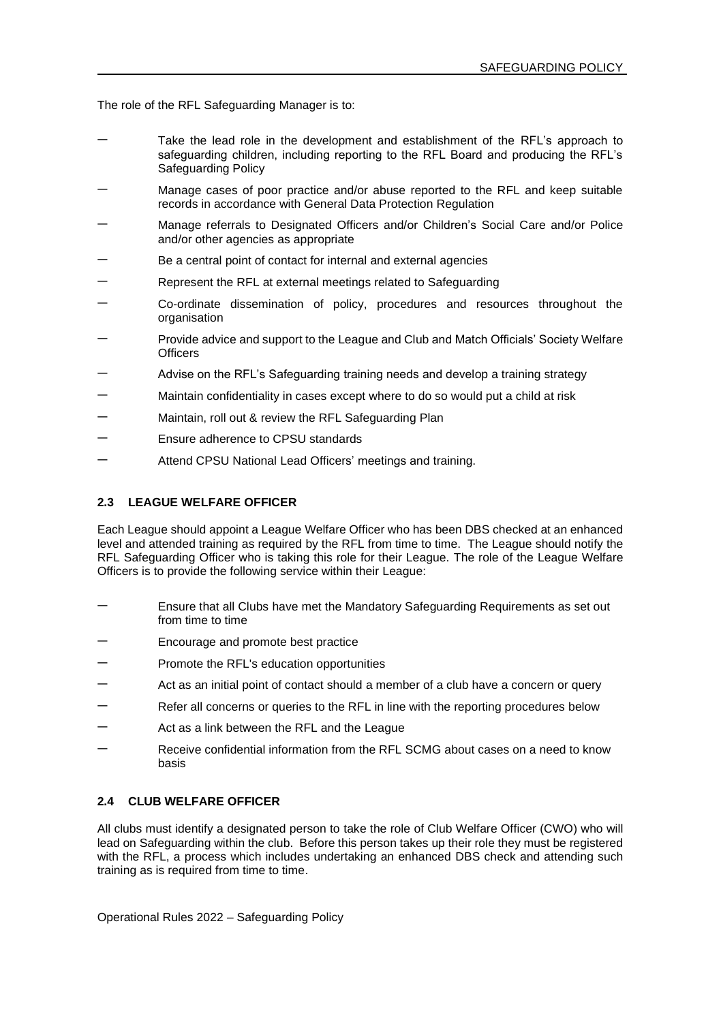The role of the RFL Safeguarding Manager is to:

- Take the lead role in the development and establishment of the RFL's approach to safeguarding children, including reporting to the RFL Board and producing the RFL's Safeguarding Policy
- Manage cases of poor practice and/or abuse reported to the RFL and keep suitable records in accordance with General Data Protection Regulation
- − Manage referrals to Designated Officers and/or Children's Social Care and/or Police and/or other agencies as appropriate
- Be a central point of contact for internal and external agencies
- Represent the RFL at external meetings related to Safeguarding
- − Co-ordinate dissemination of policy, procedures and resources throughout the organisation
- − Provide advice and support to the League and Club and Match Officials' Society Welfare **Officers**
- Advise on the RFL's Safeguarding training needs and develop a training strategy
- Maintain confidentiality in cases except where to do so would put a child at risk
- Maintain, roll out & review the RFL Safeguarding Plan
- − Ensure adherence to CPSU standards
- Attend CPSU National Lead Officers' meetings and training.

#### **2.3 LEAGUE WELFARE OFFICER**

Each League should appoint a League Welfare Officer who has been DBS checked at an enhanced level and attended training as required by the RFL from time to time. The League should notify the RFL Safeguarding Officer who is taking this role for their League. The role of the League Welfare Officers is to provide the following service within their League:

- Ensure that all Clubs have met the Mandatory Safeguarding Requirements as set out from time to time
- Encourage and promote best practice
- − Promote the RFL's education opportunities
- Act as an initial point of contact should a member of a club have a concern or query
- Refer all concerns or queries to the RFL in line with the reporting procedures below
- Act as a link between the RFL and the League
- Receive confidential information from the RFL SCMG about cases on a need to know basis

# **2.4 CLUB WELFARE OFFICER**

All clubs must identify a designated person to take the role of Club Welfare Officer (CWO) who will lead on Safeguarding within the club. Before this person takes up their role they must be registered with the RFL, a process which includes undertaking an enhanced DBS check and attending such training as is required from time to time.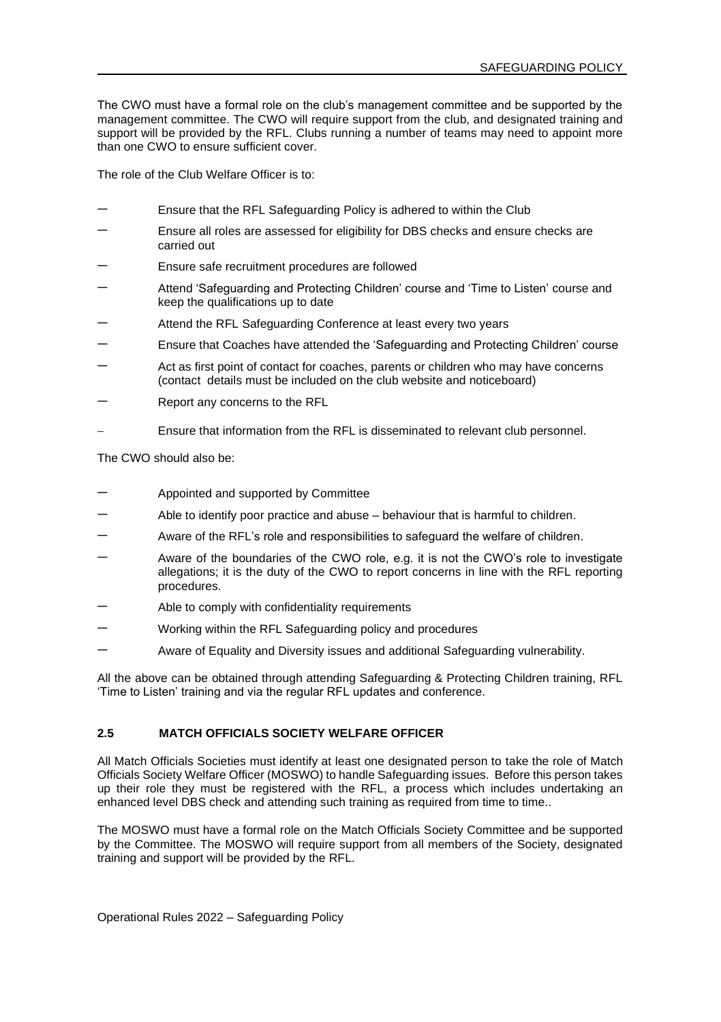The CWO must have a formal role on the club's management committee and be supported by the management committee. The CWO will require support from the club, and designated training and support will be provided by the RFL. Clubs running a number of teams may need to appoint more than one CWO to ensure sufficient cover.

The role of the Club Welfare Officer is to:

- Ensure that the RFL Safeguarding Policy is adhered to within the Club
- Ensure all roles are assessed for eligibility for DBS checks and ensure checks are carried out
- Ensure safe recruitment procedures are followed
- − Attend 'Safeguarding and Protecting Children' course and 'Time to Listen' course and keep the qualifications up to date
- Attend the RFL Safeguarding Conference at least every two years
- Ensure that Coaches have attended the 'Safeguarding and Protecting Children' course
- Act as first point of contact for coaches, parents or children who may have concerns (contact details must be included on the club website and noticeboard)
- Report any concerns to the RFL
- Ensure that information from the RFL is disseminated to relevant club personnel.

The CWO should also be:

- − Appointed and supported by Committee
- Able to identify poor practice and abuse behaviour that is harmful to children.
- Aware of the RFL's role and responsibilities to safequard the welfare of children.
- − Aware of the boundaries of the CWO role, e.g. it is not the CWO's role to investigate allegations; it is the duty of the CWO to report concerns in line with the RFL reporting procedures.
- Able to comply with confidentiality requirements
- − Working within the RFL Safeguarding policy and procedures
- − Aware of Equality and Diversity issues and additional Safeguarding vulnerability.

All the above can be obtained through attending Safeguarding & Protecting Children training, RFL 'Time to Listen' training and via the regular RFL updates and conference.

### **2.5 MATCH OFFICIALS SOCIETY WELFARE OFFICER**

All Match Officials Societies must identify at least one designated person to take the role of Match Officials Society Welfare Officer (MOSWO) to handle Safeguarding issues. Before this person takes up their role they must be registered with the RFL, a process which includes undertaking an enhanced level DBS check and attending such training as required from time to time..

The MOSWO must have a formal role on the Match Officials Society Committee and be supported by the Committee. The MOSWO will require support from all members of the Society, designated training and support will be provided by the RFL.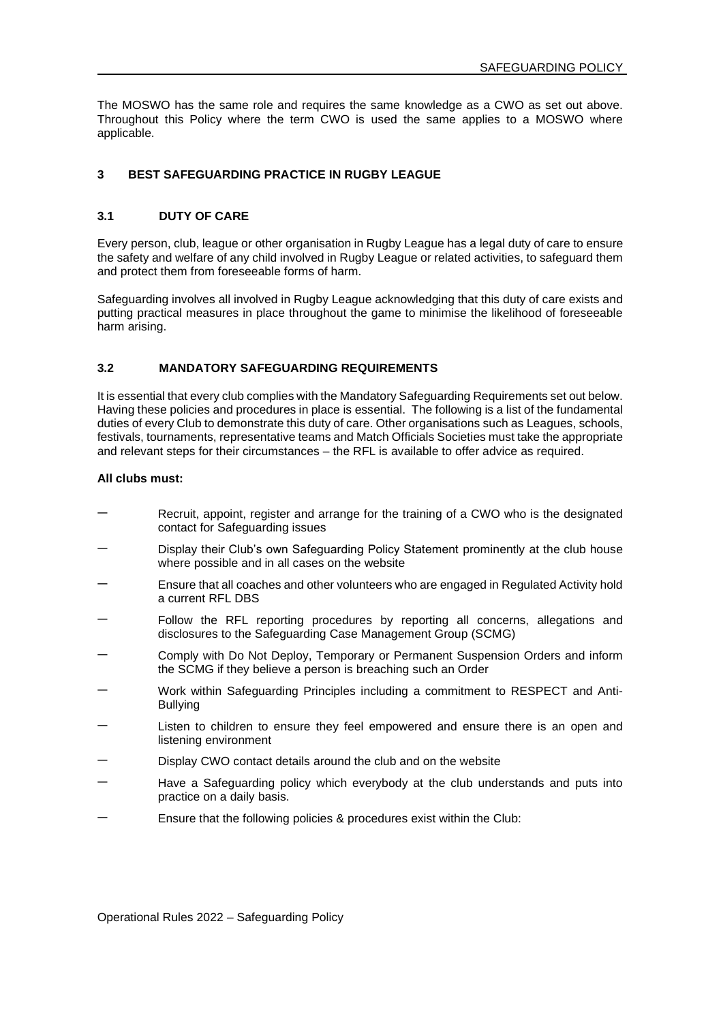The MOSWO has the same role and requires the same knowledge as a CWO as set out above. Throughout this Policy where the term CWO is used the same applies to a MOSWO where applicable.

### **3 BEST SAFEGUARDING PRACTICE IN RUGBY LEAGUE**

### **3.1 DUTY OF CARE**

Every person, club, league or other organisation in Rugby League has a legal duty of care to ensure the safety and welfare of any child involved in Rugby League or related activities, to safeguard them and protect them from foreseeable forms of harm.

Safeguarding involves all involved in Rugby League acknowledging that this duty of care exists and putting practical measures in place throughout the game to minimise the likelihood of foreseeable harm arising.

### **3.2 MANDATORY SAFEGUARDING REQUIREMENTS**

It is essential that every club complies with the Mandatory Safeguarding Requirements set out below. Having these policies and procedures in place is essential. The following is a list of the fundamental duties of every Club to demonstrate this duty of care. Other organisations such as Leagues, schools, festivals, tournaments, representative teams and Match Officials Societies must take the appropriate and relevant steps for their circumstances – the RFL is available to offer advice as required.

#### **All clubs must:**

- Recruit, appoint, register and arrange for the training of a CWO who is the designated contact for Safeguarding issues
- Display their Club's own Safeguarding Policy Statement prominently at the club house where possible and in all cases on the website
- Ensure that all coaches and other volunteers who are engaged in Regulated Activity hold a current RFL DBS
- Follow the RFL reporting procedures by reporting all concerns, allegations and disclosures to the Safeguarding Case Management Group (SCMG)
- Comply with Do Not Deploy, Temporary or Permanent Suspension Orders and inform the SCMG if they believe a person is breaching such an Order
- − Work within Safeguarding Principles including a commitment to RESPECT and Anti-Bullying
- Listen to children to ensure they feel empowered and ensure there is an open and listening environment
- Display CWO contact details around the club and on the website
- Have a Safeguarding policy which everybody at the club understands and puts into practice on a daily basis.
- − Ensure that the following policies & procedures exist within the Club: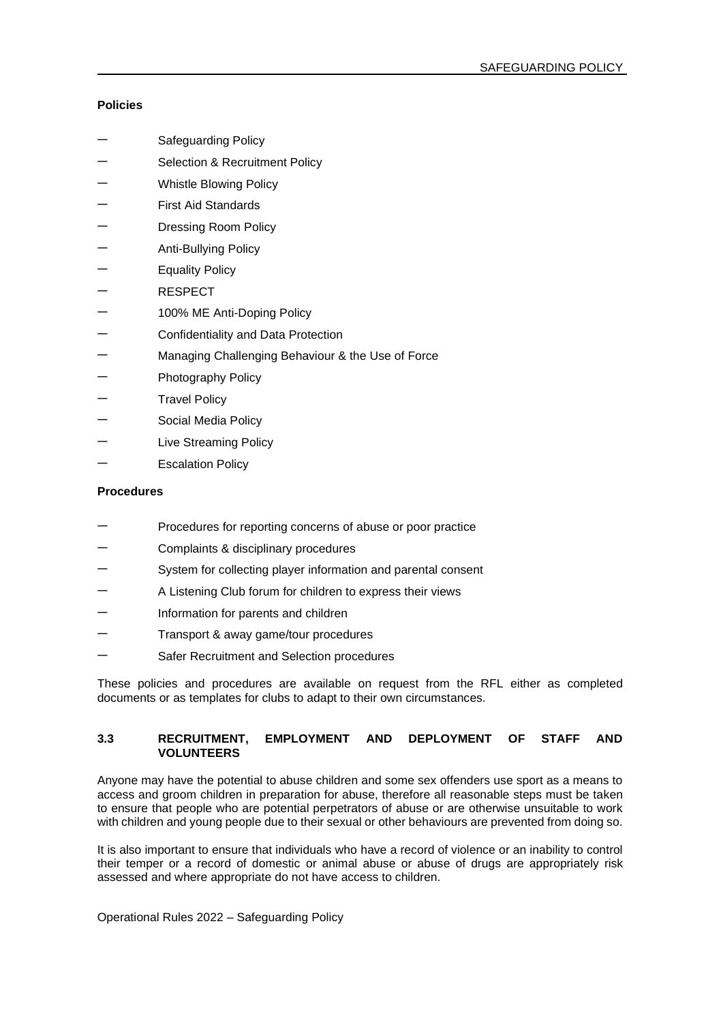# **Policies**

- Safeguarding Policy
- − Selection & Recruitment Policy
- − Whistle Blowing Policy
- − First Aid Standards
- Dressing Room Policy
- − Anti-Bullying Policy
- Equality Policy
- − RESPECT
- − 100% ME Anti-Doping Policy
- − Confidentiality and Data Protection
- Managing Challenging Behaviour & the Use of Force
- − Photography Policy
- Travel Policy
- − Social Media Policy
- Live Streaming Policy
- Escalation Policy

### **Procedures**

- Procedures for reporting concerns of abuse or poor practice
- − Complaints & disciplinary procedures
- System for collecting player information and parental consent
- − A Listening Club forum for children to express their views
- Information for parents and children
- − Transport & away game/tour procedures
- Safer Recruitment and Selection procedures

These policies and procedures are available on request from the RFL either as completed documents or as templates for clubs to adapt to their own circumstances.

### **3.3 RECRUITMENT, EMPLOYMENT AND DEPLOYMENT OF STAFF AND VOLUNTEERS**

Anyone may have the potential to abuse children and some sex offenders use sport as a means to access and groom children in preparation for abuse, therefore all reasonable steps must be taken to ensure that people who are potential perpetrators of abuse or are otherwise unsuitable to work with children and young people due to their sexual or other behaviours are prevented from doing so.

It is also important to ensure that individuals who have a record of violence or an inability to control their temper or a record of domestic or animal abuse or abuse of drugs are appropriately risk assessed and where appropriate do not have access to children.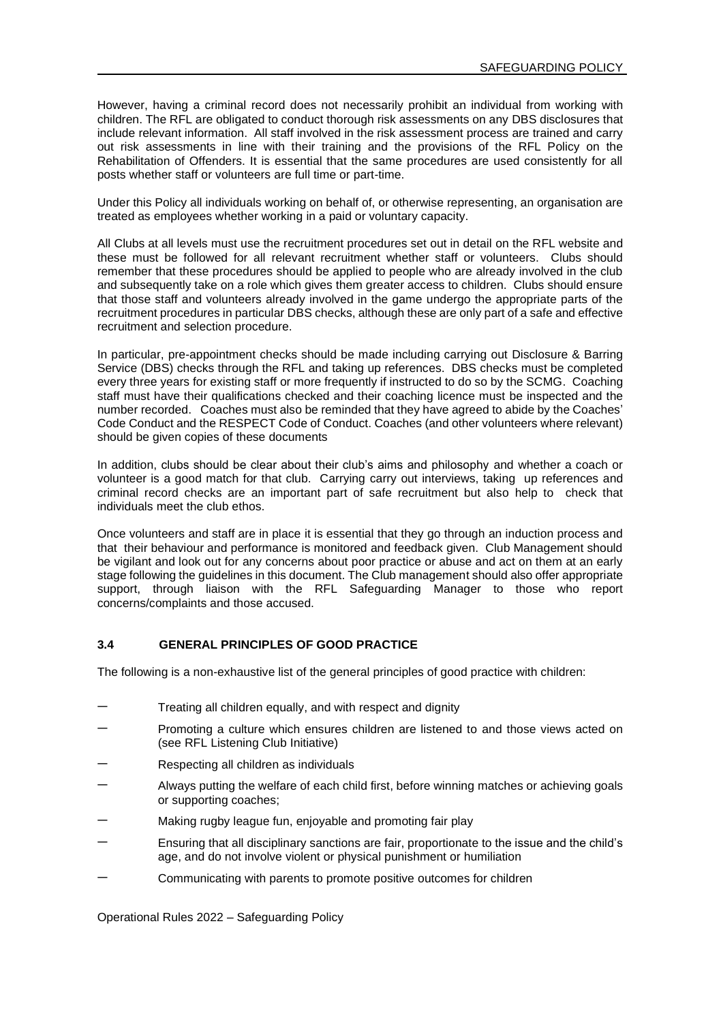However, having a criminal record does not necessarily prohibit an individual from working with children. The RFL are obligated to conduct thorough risk assessments on any DBS disclosures that include relevant information. All staff involved in the risk assessment process are trained and carry out risk assessments in line with their training and the provisions of the RFL Policy on the Rehabilitation of Offenders. It is essential that the same procedures are used consistently for all posts whether staff or volunteers are full time or part-time.

Under this Policy all individuals working on behalf of, or otherwise representing, an organisation are treated as employees whether working in a paid or voluntary capacity.

All Clubs at all levels must use the recruitment procedures set out in detail on the RFL website and these must be followed for all relevant recruitment whether staff or volunteers. Clubs should remember that these procedures should be applied to people who are already involved in the club and subsequently take on a role which gives them greater access to children. Clubs should ensure that those staff and volunteers already involved in the game undergo the appropriate parts of the recruitment procedures in particular DBS checks, although these are only part of a safe and effective recruitment and selection procedure.

In particular, pre-appointment checks should be made including carrying out Disclosure & Barring Service (DBS) checks through the RFL and taking up references. DBS checks must be completed every three years for existing staff or more frequently if instructed to do so by the SCMG. Coaching staff must have their qualifications checked and their coaching licence must be inspected and the number recorded. Coaches must also be reminded that they have agreed to abide by the Coaches' Code Conduct and the RESPECT Code of Conduct. Coaches (and other volunteers where relevant) should be given copies of these documents

In addition, clubs should be clear about their club's aims and philosophy and whether a coach or volunteer is a good match for that club. Carrying carry out interviews, taking up references and criminal record checks are an important part of safe recruitment but also help to check that individuals meet the club ethos.

Once volunteers and staff are in place it is essential that they go through an induction process and that their behaviour and performance is monitored and feedback given. Club Management should be vigilant and look out for any concerns about poor practice or abuse and act on them at an early stage following the guidelines in this document. The Club management should also offer appropriate support, through liaison with the RFL Safeguarding Manager to those who report concerns/complaints and those accused.

#### **3.4 GENERAL PRINCIPLES OF GOOD PRACTICE**

The following is a non-exhaustive list of the general principles of good practice with children:

- Treating all children equally, and with respect and dignity
- Promoting a culture which ensures children are listened to and those views acted on (see RFL Listening Club Initiative)
- − Respecting all children as individuals
- − Always putting the welfare of each child first, before winning matches or achieving goals or supporting coaches;
- Making rugby league fun, enjoyable and promoting fair play
- Ensuring that all disciplinary sanctions are fair, proportionate to the issue and the child's age, and do not involve violent or physical punishment or humiliation
- − Communicating with parents to promote positive outcomes for children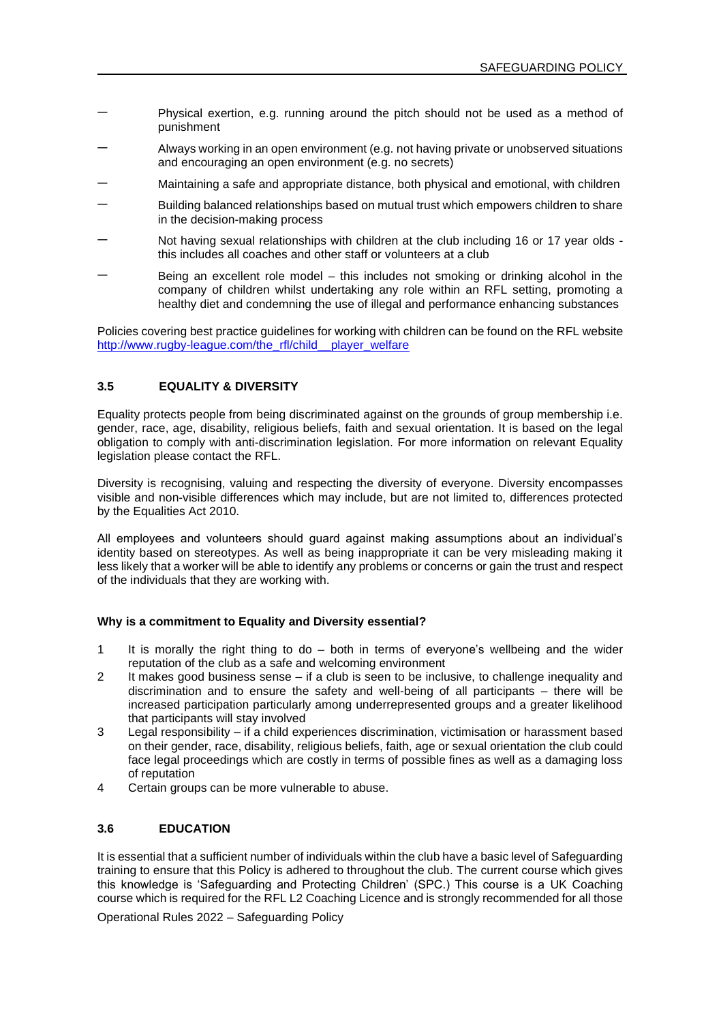- − Physical exertion, e.g. running around the pitch should not be used as a method of punishment
- − Always working in an open environment (e.g. not having private or unobserved situations and encouraging an open environment (e.g. no secrets)
- − Maintaining a safe and appropriate distance, both physical and emotional, with children
- Building balanced relationships based on mutual trust which empowers children to share in the decision-making process
- − Not having sexual relationships with children at the club including 16 or 17 year olds this includes all coaches and other staff or volunteers at a club
- Being an excellent role model this includes not smoking or drinking alcohol in the company of children whilst undertaking any role within an RFL setting, promoting a healthy diet and condemning the use of illegal and performance enhancing substances

Policies covering best practice guidelines for working with children can be found on the RFL website [http://www.rugby-league.com/the\\_rfl/child\\_\\_player\\_welfare](http://www.rugby-league.com/the_rfl/child__player_welfare)

## **3.5 EQUALITY & DIVERSITY**

Equality protects people from being discriminated against on the grounds of group membership i.e. gender, race, age, disability, religious beliefs, faith and sexual orientation. It is based on the legal obligation to comply with anti-discrimination legislation. For more information on relevant Equality legislation please contact the RFL.

Diversity is recognising, valuing and respecting the diversity of everyone. Diversity encompasses visible and non-visible differences which may include, but are not limited to, differences protected by the Equalities Act 2010.

All employees and volunteers should guard against making assumptions about an individual's identity based on stereotypes. As well as being inappropriate it can be very misleading making it less likely that a worker will be able to identify any problems or concerns or gain the trust and respect of the individuals that they are working with.

### **Why is a commitment to Equality and Diversity essential?**

- 1 It is morally the right thing to do both in terms of everyone's wellbeing and the wider reputation of the club as a safe and welcoming environment
- 2 It makes good business sense if a club is seen to be inclusive, to challenge inequality and discrimination and to ensure the safety and well-being of all participants – there will be increased participation particularly among underrepresented groups and a greater likelihood that participants will stay involved
- 3 Legal responsibility if a child experiences discrimination, victimisation or harassment based on their gender, race, disability, religious beliefs, faith, age or sexual orientation the club could face legal proceedings which are costly in terms of possible fines as well as a damaging loss of reputation
- 4 Certain groups can be more vulnerable to abuse.

### **3.6 EDUCATION**

It is essential that a sufficient number of individuals within the club have a basic level of Safeguarding training to ensure that this Policy is adhered to throughout the club. The current course which gives this knowledge is 'Safeguarding and Protecting Children' (SPC.) This course is a UK Coaching course which is required for the RFL L2 Coaching Licence and is strongly recommended for all those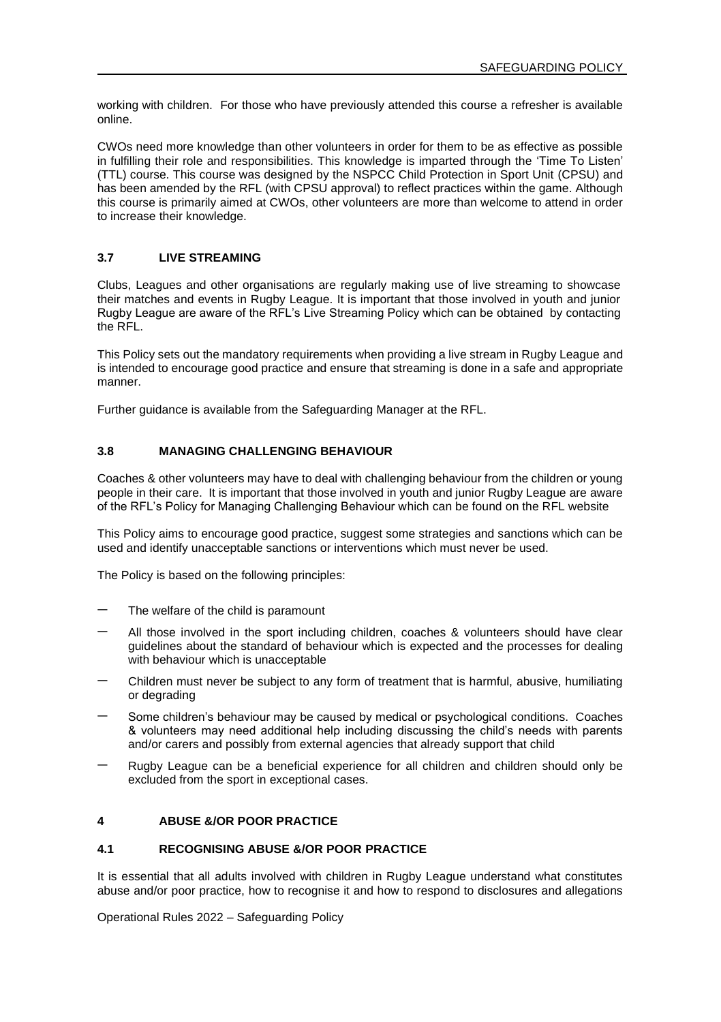working with children. For those who have previously attended this course a refresher is available online.

CWOs need more knowledge than other volunteers in order for them to be as effective as possible in fulfilling their role and responsibilities. This knowledge is imparted through the 'Time To Listen' (TTL) course. This course was designed by the NSPCC Child Protection in Sport Unit (CPSU) and has been amended by the RFL (with CPSU approval) to reflect practices within the game. Although this course is primarily aimed at CWOs, other volunteers are more than welcome to attend in order to increase their knowledge.

#### **3.7 LIVE STREAMING**

Clubs, Leagues and other organisations are regularly making use of live streaming to showcase their matches and events in Rugby League. It is important that those involved in youth and junior Rugby League are aware of the RFL's Live Streaming Policy which can be obtained by contacting the RFL.

This Policy sets out the mandatory requirements when providing a live stream in Rugby League and is intended to encourage good practice and ensure that streaming is done in a safe and appropriate manner.

Further guidance is available from the Safeguarding Manager at the RFL.

### **3.8 MANAGING CHALLENGING BEHAVIOUR**

Coaches & other volunteers may have to deal with challenging behaviour from the children or young people in their care. It is important that those involved in youth and junior Rugby League are aware of the RFL's Policy for Managing Challenging Behaviour which can be found on the RFL website

This Policy aims to encourage good practice, suggest some strategies and sanctions which can be used and identify unacceptable sanctions or interventions which must never be used.

The Policy is based on the following principles:

- The welfare of the child is paramount
- − All those involved in the sport including children, coaches & volunteers should have clear guidelines about the standard of behaviour which is expected and the processes for dealing with behaviour which is unacceptable
- − Children must never be subject to any form of treatment that is harmful, abusive, humiliating or degrading
- Some children's behaviour may be caused by medical or psychological conditions. Coaches & volunteers may need additional help including discussing the child's needs with parents and/or carers and possibly from external agencies that already support that child
- − Rugby League can be a beneficial experience for all children and children should only be excluded from the sport in exceptional cases.

### **4 ABUSE &/OR POOR PRACTICE**

#### **4.1 RECOGNISING ABUSE &/OR POOR PRACTICE**

It is essential that all adults involved with children in Rugby League understand what constitutes abuse and/or poor practice, how to recognise it and how to respond to disclosures and allegations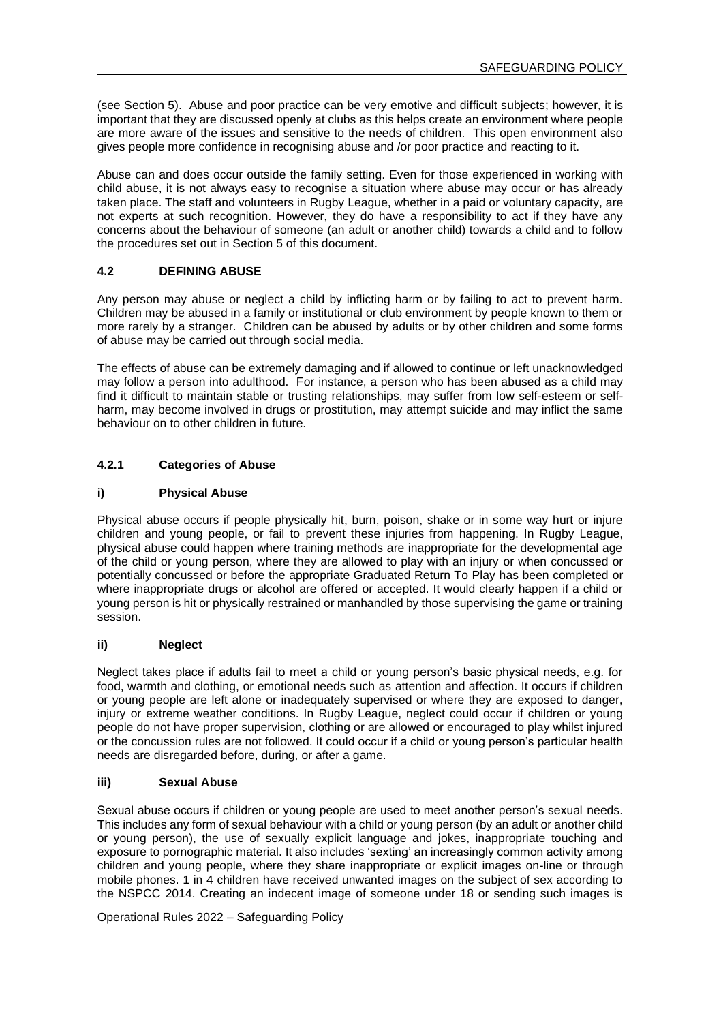(see Section 5). Abuse and poor practice can be very emotive and difficult subjects; however, it is important that they are discussed openly at clubs as this helps create an environment where people are more aware of the issues and sensitive to the needs of children. This open environment also gives people more confidence in recognising abuse and /or poor practice and reacting to it.

Abuse can and does occur outside the family setting. Even for those experienced in working with child abuse, it is not always easy to recognise a situation where abuse may occur or has already taken place. The staff and volunteers in Rugby League, whether in a paid or voluntary capacity, are not experts at such recognition. However, they do have a responsibility to act if they have any concerns about the behaviour of someone (an adult or another child) towards a child and to follow the procedures set out in Section 5 of this document.

## **4.2 DEFINING ABUSE**

Any person may abuse or neglect a child by inflicting harm or by failing to act to prevent harm. Children may be abused in a family or institutional or club environment by people known to them or more rarely by a stranger. Children can be abused by adults or by other children and some forms of abuse may be carried out through social media.

The effects of abuse can be extremely damaging and if allowed to continue or left unacknowledged may follow a person into adulthood. For instance, a person who has been abused as a child may find it difficult to maintain stable or trusting relationships, may suffer from low self-esteem or selfharm, may become involved in drugs or prostitution, may attempt suicide and may inflict the same behaviour on to other children in future.

# **4.2.1 Categories of Abuse**

### **i) Physical Abuse**

Physical abuse occurs if people physically hit, burn, poison, shake or in some way hurt or injure children and young people, or fail to prevent these injuries from happening. In Rugby League, physical abuse could happen where training methods are inappropriate for the developmental age of the child or young person, where they are allowed to play with an injury or when concussed or potentially concussed or before the appropriate Graduated Return To Play has been completed or where inappropriate drugs or alcohol are offered or accepted. It would clearly happen if a child or young person is hit or physically restrained or manhandled by those supervising the game or training session.

### **ii) Neglect**

Neglect takes place if adults fail to meet a child or young person's basic physical needs, e.g. for food, warmth and clothing, or emotional needs such as attention and affection. It occurs if children or young people are left alone or inadequately supervised or where they are exposed to danger, injury or extreme weather conditions. In Rugby League, neglect could occur if children or young people do not have proper supervision, clothing or are allowed or encouraged to play whilst injured or the concussion rules are not followed. It could occur if a child or young person's particular health needs are disregarded before, during, or after a game.

#### **iii) Sexual Abuse**

Sexual abuse occurs if children or young people are used to meet another person's sexual needs. This includes any form of sexual behaviour with a child or young person (by an adult or another child or young person), the use of sexually explicit language and jokes, inappropriate touching and exposure to pornographic material. It also includes 'sexting' an increasingly common activity among children and young people, where they share inappropriate or explicit images on-line or through mobile phones. 1 in 4 children have received unwanted images on the subject of sex according to the NSPCC 2014. Creating an indecent image of someone under 18 or sending such images is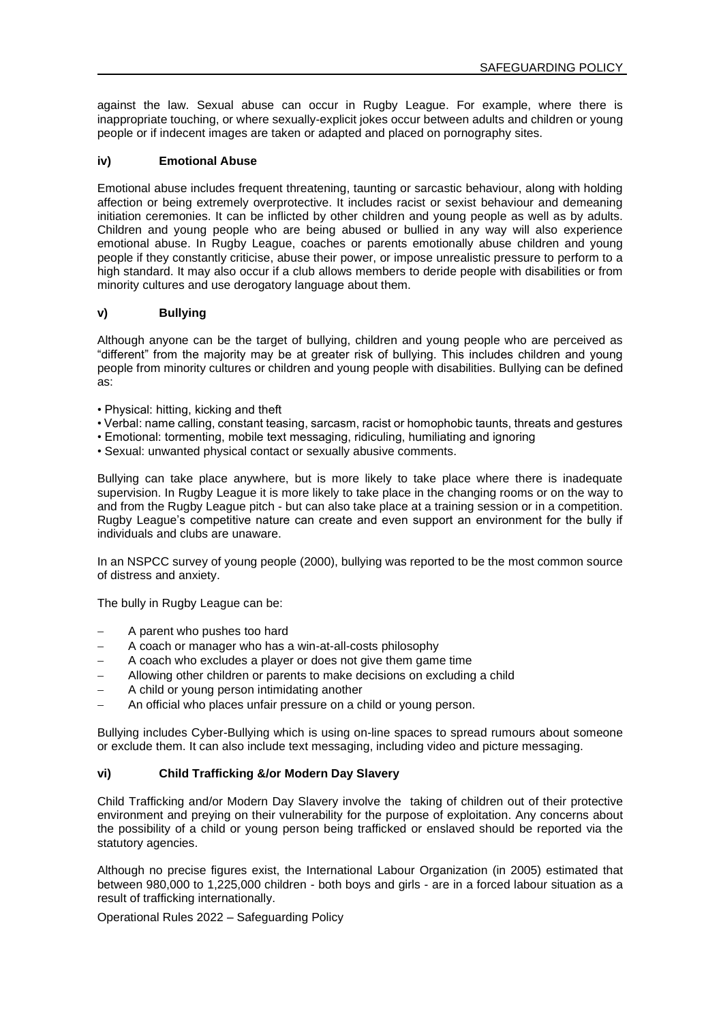against the law. Sexual abuse can occur in Rugby League. For example, where there is inappropriate touching, or where sexually-explicit jokes occur between adults and children or young people or if indecent images are taken or adapted and placed on pornography sites.

### **iv) Emotional Abuse**

Emotional abuse includes frequent threatening, taunting or sarcastic behaviour, along with holding affection or being extremely overprotective. It includes racist or sexist behaviour and demeaning initiation ceremonies. It can be inflicted by other children and young people as well as by adults. Children and young people who are being abused or bullied in any way will also experience emotional abuse. In Rugby League, coaches or parents emotionally abuse children and young people if they constantly criticise, abuse their power, or impose unrealistic pressure to perform to a high standard. It may also occur if a club allows members to deride people with disabilities or from minority cultures and use derogatory language about them.

### **v) Bullying**

Although anyone can be the target of bullying, children and young people who are perceived as "different" from the majority may be at greater risk of bullying. This includes children and young people from minority cultures or children and young people with disabilities. Bullying can be defined as:

- Physical: hitting, kicking and theft
- Verbal: name calling, constant teasing, sarcasm, racist or homophobic taunts, threats and gestures
- Emotional: tormenting, mobile text messaging, ridiculing, humiliating and ignoring
- Sexual: unwanted physical contact or sexually abusive comments.

Bullying can take place anywhere, but is more likely to take place where there is inadequate supervision. In Rugby League it is more likely to take place in the changing rooms or on the way to and from the Rugby League pitch - but can also take place at a training session or in a competition. Rugby League's competitive nature can create and even support an environment for the bully if individuals and clubs are unaware.

In an NSPCC survey of young people (2000), bullying was reported to be the most common source of distress and anxiety.

The bully in Rugby League can be:

- − A parent who pushes too hard
- − A coach or manager who has a win-at-all-costs philosophy
- A coach who excludes a player or does not give them game time
- − Allowing other children or parents to make decisions on excluding a child
- − A child or young person intimidating another
- An official who places unfair pressure on a child or young person.

Bullying includes Cyber-Bullying which is using on-line spaces to spread rumours about someone or exclude them. It can also include text messaging, including video and picture messaging.

### **vi) Child Trafficking &/or Modern Day Slavery**

Child Trafficking and/or Modern Day Slavery involve the taking of children out of their protective environment and preying on their vulnerability for the purpose of exploitation. Any concerns about the possibility of a child or young person being trafficked or enslaved should be reported via the statutory agencies.

Although no precise figures exist, the International Labour Organization (in 2005) estimated that between 980,000 to 1,225,000 children - both boys and girls - are in a forced labour situation as a result of trafficking internationally.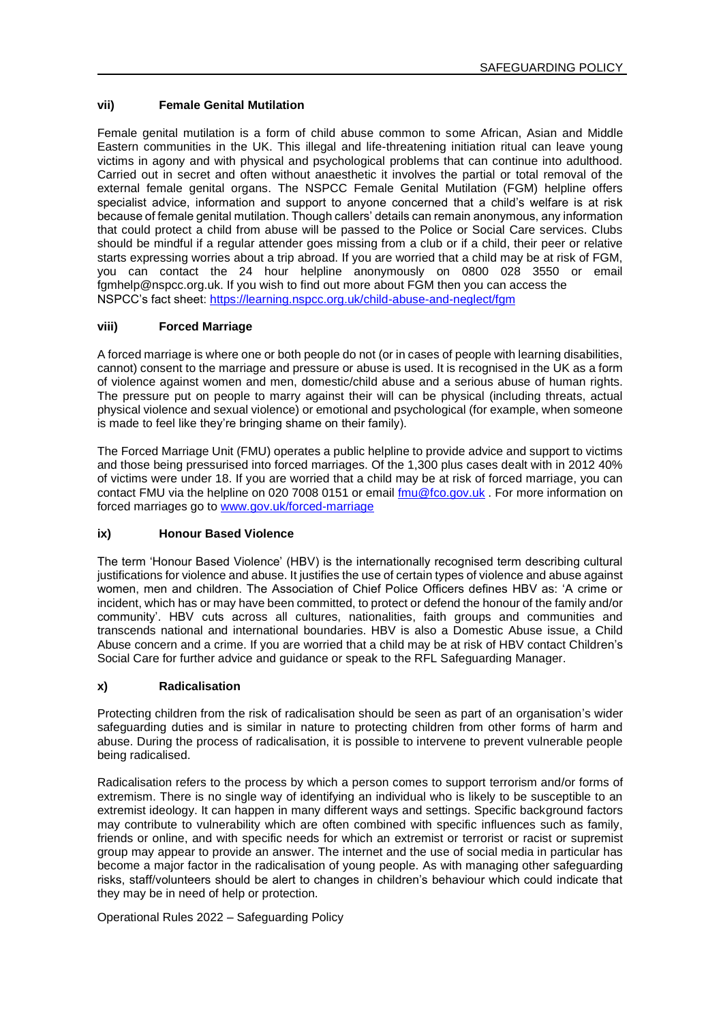## **vii) Female Genital Mutilation**

Female genital mutilation is a form of child abuse common to some African, Asian and Middle Eastern communities in the UK. This illegal and life-threatening initiation ritual can leave young victims in agony and with physical and psychological problems that can continue into adulthood. Carried out in secret and often without anaesthetic it involves the partial or total removal of the external female genital organs. The NSPCC Female Genital Mutilation (FGM) helpline offers specialist advice, information and support to anyone concerned that a child's welfare is at risk because of female genital mutilation. Though callers' details can remain anonymous, any information that could protect a child from abuse will be passed to the Police or Social Care services. Clubs should be mindful if a regular attender goes missing from a club or if a child, their peer or relative starts expressing worries about a trip abroad. If you are worried that a child may be at risk of FGM, you can contact the 24 hour helpline anonymously on 0800 028 3550 or email fgmhelp@nspcc.org.uk. If you wish to find out more about FGM then you can access the NSPCC's fact sheet[: https://learning.nspcc.org.uk/child-abuse-and-neglect/fgm](https://learning.nspcc.org.uk/child-abuse-and-neglect/fgm)

## **viii) Forced Marriage**

A forced marriage is where one or both people do not (or in cases of people with learning disabilities, cannot) consent to the marriage and pressure or abuse is used. It is recognised in the UK as a form of violence against women and men, domestic/child abuse and a serious abuse of human rights. The pressure put on people to marry against their will can be physical (including threats, actual physical violence and sexual violence) or emotional and psychological (for example, when someone is made to feel like they're bringing shame on their family).

The Forced Marriage Unit (FMU) operates a public helpline to provide advice and support to victims and those being pressurised into forced marriages. Of the 1,300 plus cases dealt with in 2012 40% of victims were under 18. If you are worried that a child may be at risk of forced marriage, you can contact FMU via the helpline on 020 7008 0151 or email [fmu@fco.gov.uk](mailto:fmu@fco.gov.uk) . For more information on forced marriages go t[o www.gov.uk/forced-marriage](http://www.gov.uk/forced-marriage)

### **ix) Honour Based Violence**

The term 'Honour Based Violence' (HBV) is the internationally recognised term describing cultural justifications for violence and abuse. It justifies the use of certain types of violence and abuse against women, men and children. The Association of Chief Police Officers defines HBV as: 'A crime or incident, which has or may have been committed, to protect or defend the honour of the family and/or community'. HBV cuts across all cultures, nationalities, faith groups and communities and transcends national and international boundaries. HBV is also a Domestic Abuse issue, a Child Abuse concern and a crime. If you are worried that a child may be at risk of HBV contact Children's Social Care for further advice and guidance or speak to the RFL Safeguarding Manager.

### **x) Radicalisation**

Protecting children from the risk of radicalisation should be seen as part of an organisation's wider safeguarding duties and is similar in nature to protecting children from other forms of harm and abuse. During the process of radicalisation, it is possible to intervene to prevent vulnerable people being radicalised.

Radicalisation refers to the process by which a person comes to support terrorism and/or forms of extremism. There is no single way of identifying an individual who is likely to be susceptible to an extremist ideology. It can happen in many different ways and settings. Specific background factors may contribute to vulnerability which are often combined with specific influences such as family, friends or online, and with specific needs for which an extremist or terrorist or racist or supremist group may appear to provide an answer. The internet and the use of social media in particular has become a major factor in the radicalisation of young people. As with managing other safeguarding risks, staff/volunteers should be alert to changes in children's behaviour which could indicate that they may be in need of help or protection.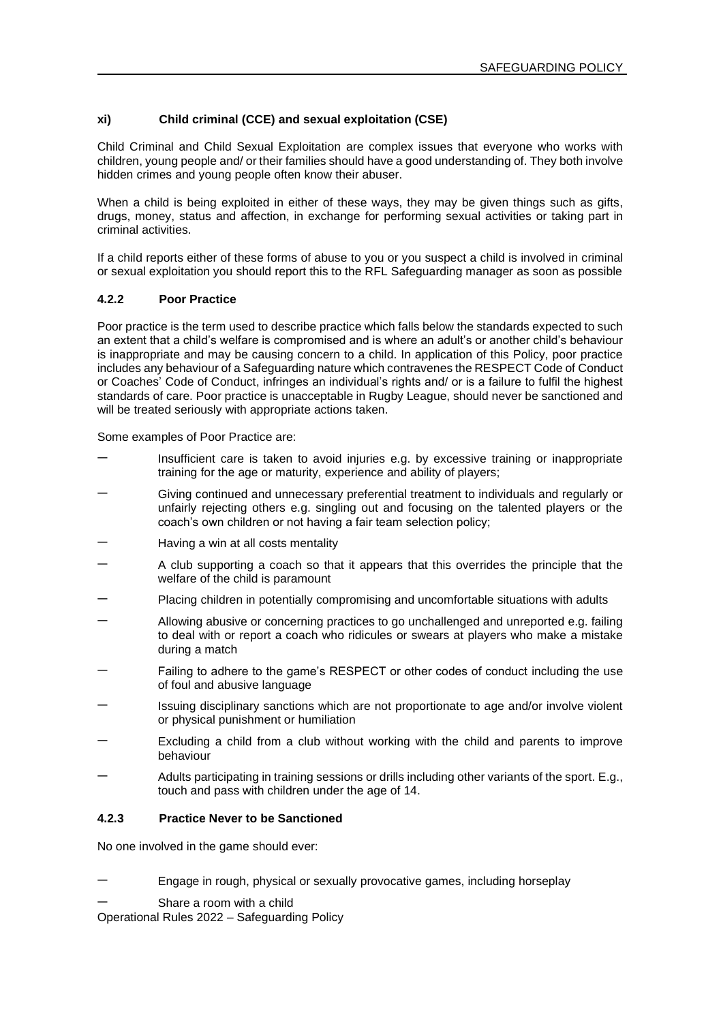## **xi) Child criminal (CCE) and sexual exploitation (CSE)**

Child Criminal and Child Sexual Exploitation are complex issues that everyone who works with children, young people and/ or their families should have a good understanding of. They both involve hidden crimes and young people often know their abuser.

When a child is being exploited in either of these ways, they may be given things such as gifts, drugs, money, status and affection, in exchange for performing sexual activities or taking part in criminal activities.

If a child reports either of these forms of abuse to you or you suspect a child is involved in criminal or sexual exploitation you should report this to the RFL Safeguarding manager as soon as possible

### **4.2.2 Poor Practice**

Poor practice is the term used to describe practice which falls below the standards expected to such an extent that a child's welfare is compromised and is where an adult's or another child's behaviour is inappropriate and may be causing concern to a child. In application of this Policy, poor practice includes any behaviour of a Safeguarding nature which contravenes the RESPECT Code of Conduct or Coaches' Code of Conduct, infringes an individual's rights and/ or is a failure to fulfil the highest standards of care. Poor practice is unacceptable in Rugby League, should never be sanctioned and will be treated seriously with appropriate actions taken.

Some examples of Poor Practice are:

- Insufficient care is taken to avoid injuries e.g. by excessive training or inappropriate training for the age or maturity, experience and ability of players;
- Giving continued and unnecessary preferential treatment to individuals and regularly or unfairly rejecting others e.g. singling out and focusing on the talented players or the coach's own children or not having a fair team selection policy;
- − Having a win at all costs mentality
- − A club supporting a coach so that it appears that this overrides the principle that the welfare of the child is paramount
- Placing children in potentially compromising and uncomfortable situations with adults
- − Allowing abusive or concerning practices to go unchallenged and unreported e.g. failing to deal with or report a coach who ridicules or swears at players who make a mistake during a match
- Failing to adhere to the game's RESPECT or other codes of conduct including the use of foul and abusive language
- Issuing disciplinary sanctions which are not proportionate to age and/or involve violent or physical punishment or humiliation
- − Excluding a child from a club without working with the child and parents to improve behaviour
- − Adults participating in training sessions or drills including other variants of the sport. E.g., touch and pass with children under the age of 14.

### **4.2.3 Practice Never to be Sanctioned**

No one involved in the game should ever:

- Engage in rough, physical or sexually provocative games, including horseplay
- Share a room with a child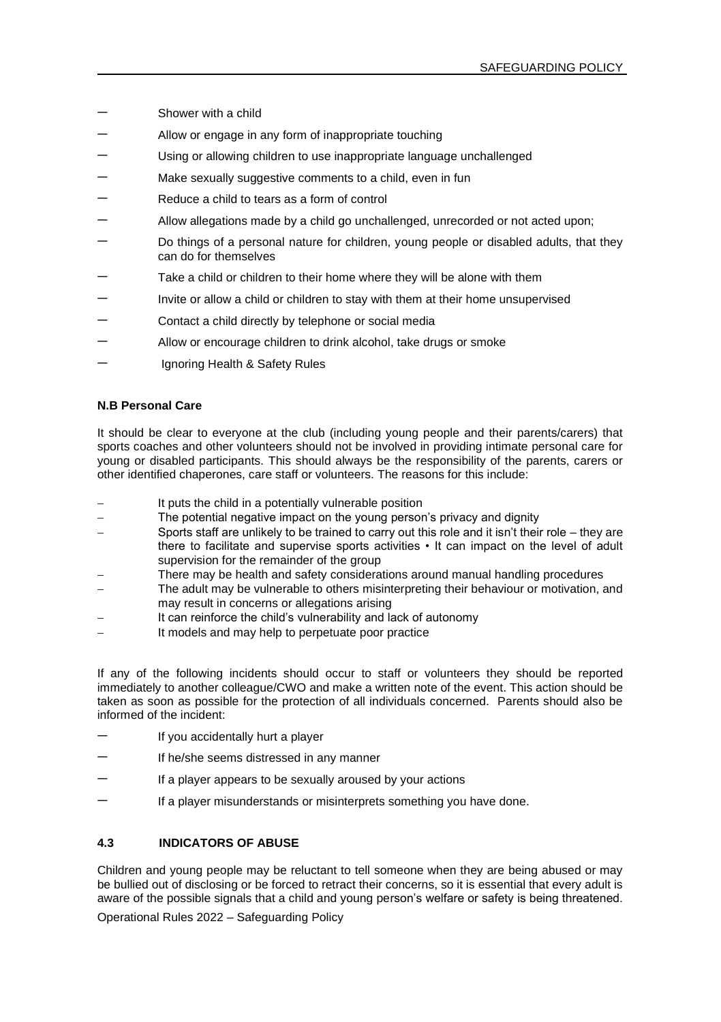- Shower with a child
- Allow or engage in any form of inappropriate touching
- Using or allowing children to use inappropriate language unchallenged
- Make sexually suggestive comments to a child, even in fun
- Reduce a child to tears as a form of control
- − Allow allegations made by a child go unchallenged, unrecorded or not acted upon;
- Do things of a personal nature for children, young people or disabled adults, that they can do for themselves
- Take a child or children to their home where they will be alone with them
- − Invite or allow a child or children to stay with them at their home unsupervised
- − Contact a child directly by telephone or social media
- Allow or encourage children to drink alcohol, take drugs or smoke
- − Ignoring Health & Safety Rules

#### **N.B Personal Care**

It should be clear to everyone at the club (including young people and their parents/carers) that sports coaches and other volunteers should not be involved in providing intimate personal care for young or disabled participants. This should always be the responsibility of the parents, carers or other identified chaperones, care staff or volunteers. The reasons for this include:

- It puts the child in a potentially vulnerable position
- The potential negative impact on the young person's privacy and dignity
- Sports staff are unlikely to be trained to carry out this role and it isn't their role they are there to facilitate and supervise sports activities • It can impact on the level of adult supervision for the remainder of the group
- There may be health and safety considerations around manual handling procedures
- The adult may be vulnerable to others misinterpreting their behaviour or motivation, and may result in concerns or allegations arising
- It can reinforce the child's vulnerability and lack of autonomy
- It models and may help to perpetuate poor practice

If any of the following incidents should occur to staff or volunteers they should be reported immediately to another colleague/CWO and make a written note of the event. This action should be taken as soon as possible for the protection of all individuals concerned. Parents should also be informed of the incident:

- If you accidentally hurt a player
- If he/she seems distressed in any manner
- If a player appears to be sexually aroused by your actions
- If a player misunderstands or misinterprets something you have done.

## **4.3 INDICATORS OF ABUSE**

Children and young people may be reluctant to tell someone when they are being abused or may be bullied out of disclosing or be forced to retract their concerns, so it is essential that every adult is aware of the possible signals that a child and young person's welfare or safety is being threatened.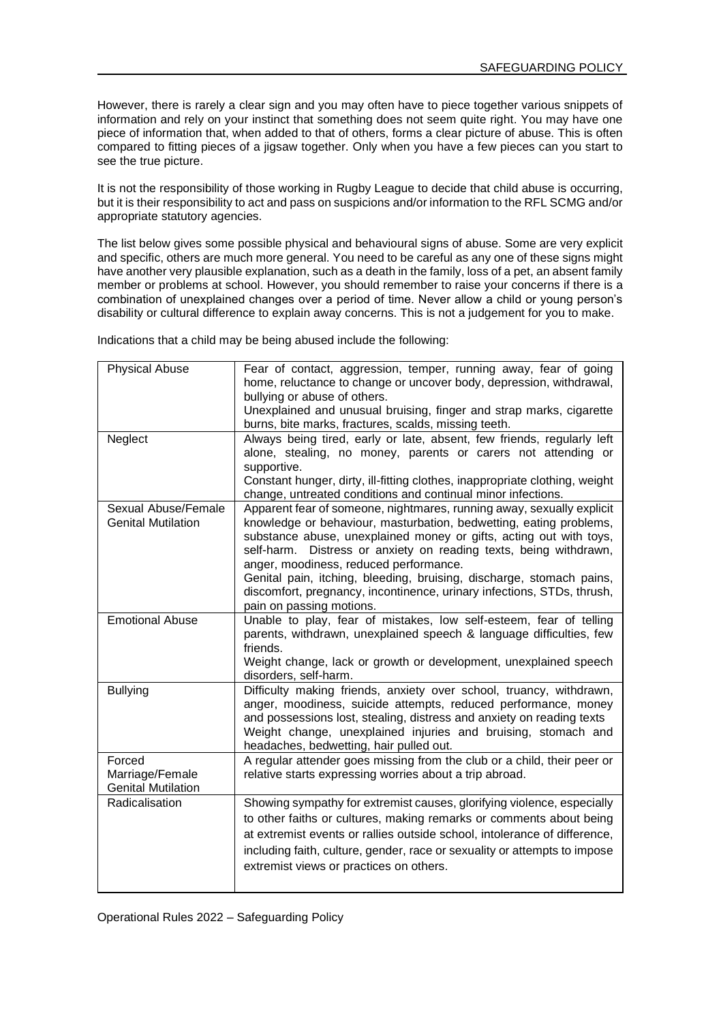However, there is rarely a clear sign and you may often have to piece together various snippets of information and rely on your instinct that something does not seem quite right. You may have one piece of information that, when added to that of others, forms a clear picture of abuse. This is often compared to fitting pieces of a jigsaw together. Only when you have a few pieces can you start to see the true picture.

It is not the responsibility of those working in Rugby League to decide that child abuse is occurring, but it is their responsibility to act and pass on suspicions and/or information to the RFL SCMG and/or appropriate statutory agencies.

The list below gives some possible physical and behavioural signs of abuse. Some are very explicit and specific, others are much more general. You need to be careful as any one of these signs might have another very plausible explanation, such as a death in the family, loss of a pet, an absent family member or problems at school. However, you should remember to raise your concerns if there is a combination of unexplained changes over a period of time. Never allow a child or young person's disability or cultural difference to explain away concerns. This is not a judgement for you to make.

Indications that a child may be being abused include the following:

| <b>Physical Abuse</b>                                  | Fear of contact, aggression, temper, running away, fear of going<br>home, reluctance to change or uncover body, depression, withdrawal,<br>bullying or abuse of others.<br>Unexplained and unusual bruising, finger and strap marks, cigarette                                                                                                                                                           |
|--------------------------------------------------------|----------------------------------------------------------------------------------------------------------------------------------------------------------------------------------------------------------------------------------------------------------------------------------------------------------------------------------------------------------------------------------------------------------|
|                                                        | burns, bite marks, fractures, scalds, missing teeth.                                                                                                                                                                                                                                                                                                                                                     |
| Neglect                                                | Always being tired, early or late, absent, few friends, regularly left<br>alone, stealing, no money, parents or carers not attending or<br>supportive.<br>Constant hunger, dirty, ill-fitting clothes, inappropriate clothing, weight<br>change, untreated conditions and continual minor infections.                                                                                                    |
| Sexual Abuse/Female<br><b>Genital Mutilation</b>       | Apparent fear of someone, nightmares, running away, sexually explicit<br>knowledge or behaviour, masturbation, bedwetting, eating problems,<br>substance abuse, unexplained money or gifts, acting out with toys,<br>self-harm. Distress or anxiety on reading texts, being withdrawn,<br>anger, moodiness, reduced performance.<br>Genital pain, itching, bleeding, bruising, discharge, stomach pains, |
|                                                        | discomfort, pregnancy, incontinence, urinary infections, STDs, thrush,<br>pain on passing motions.                                                                                                                                                                                                                                                                                                       |
| <b>Emotional Abuse</b>                                 | Unable to play, fear of mistakes, low self-esteem, fear of telling<br>parents, withdrawn, unexplained speech & language difficulties, few<br>friends.<br>Weight change, lack or growth or development, unexplained speech<br>disorders, self-harm.                                                                                                                                                       |
| <b>Bullying</b>                                        | Difficulty making friends, anxiety over school, truancy, withdrawn,<br>anger, moodiness, suicide attempts, reduced performance, money<br>and possessions lost, stealing, distress and anxiety on reading texts<br>Weight change, unexplained injuries and bruising, stomach and<br>headaches, bedwetting, hair pulled out.                                                                               |
| Forced<br>Marriage/Female<br><b>Genital Mutilation</b> | A regular attender goes missing from the club or a child, their peer or<br>relative starts expressing worries about a trip abroad.                                                                                                                                                                                                                                                                       |
| Radicalisation                                         | Showing sympathy for extremist causes, glorifying violence, especially<br>to other faiths or cultures, making remarks or comments about being<br>at extremist events or rallies outside school, intolerance of difference,<br>including faith, culture, gender, race or sexuality or attempts to impose<br>extremist views or practices on others.                                                       |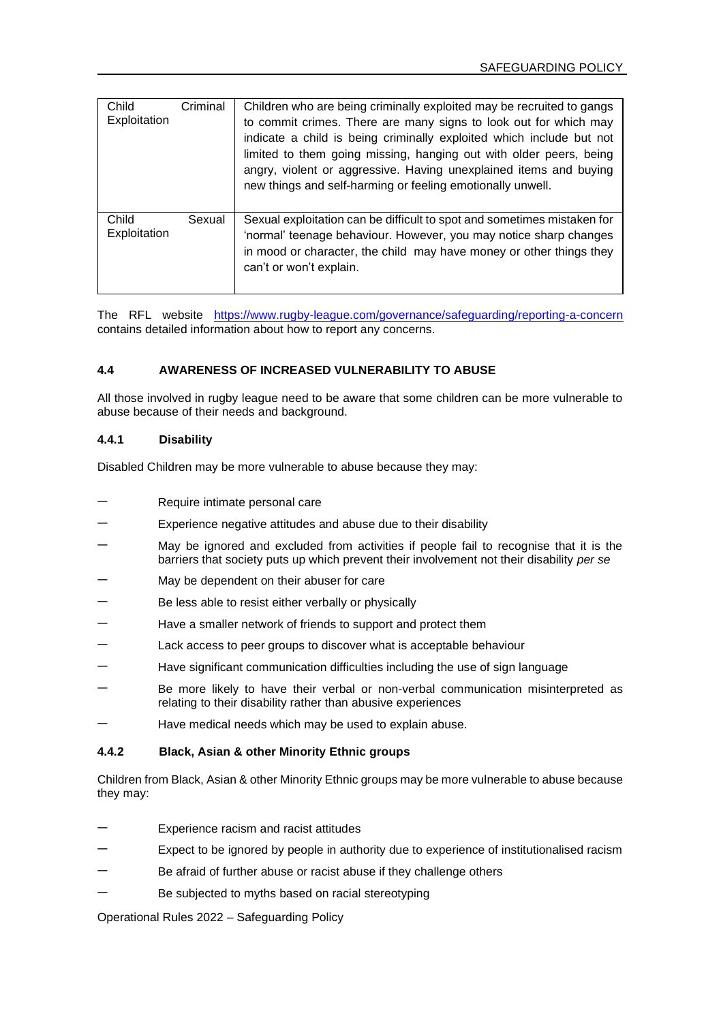| Child<br>Exploitation | Criminal | Children who are being criminally exploited may be recruited to gangs<br>to commit crimes. There are many signs to look out for which may<br>indicate a child is being criminally exploited which include but not<br>limited to them going missing, hanging out with older peers, being<br>angry, violent or aggressive. Having unexplained items and buying<br>new things and self-harming or feeling emotionally unwell. |
|-----------------------|----------|----------------------------------------------------------------------------------------------------------------------------------------------------------------------------------------------------------------------------------------------------------------------------------------------------------------------------------------------------------------------------------------------------------------------------|
| Child<br>Exploitation | Sexual   | Sexual exploitation can be difficult to spot and sometimes mistaken for<br>'normal' teenage behaviour. However, you may notice sharp changes<br>in mood or character, the child may have money or other things they<br>can't or won't explain.                                                                                                                                                                             |

The RFL website <https://www.rugby-league.com/governance/safeguarding/reporting-a-concern> contains detailed information about how to report any concerns.

# **4.4 AWARENESS OF INCREASED VULNERABILITY TO ABUSE**

All those involved in rugby league need to be aware that some children can be more vulnerable to abuse because of their needs and background.

#### **4.4.1 Disability**

Disabled Children may be more vulnerable to abuse because they may:

- − Require intimate personal care
- Experience negative attitudes and abuse due to their disability
- May be ignored and excluded from activities if people fail to recognise that it is the barriers that society puts up which prevent their involvement not their disability *per se*
- May be dependent on their abuser for care
- Be less able to resist either verbally or physically
- Have a smaller network of friends to support and protect them
- Lack access to peer groups to discover what is acceptable behaviour
- Have significant communication difficulties including the use of sign language
- Be more likely to have their verbal or non-verbal communication misinterpreted as relating to their disability rather than abusive experiences
- − Have medical needs which may be used to explain abuse.

## **4.4.2 Black, Asian & other Minority Ethnic groups**

Children from Black, Asian & other Minority Ethnic groups may be more vulnerable to abuse because they may:

- Experience racism and racist attitudes
- Expect to be ignored by people in authority due to experience of institutionalised racism
- Be afraid of further abuse or racist abuse if they challenge others
- Be subjected to myths based on racial stereotyping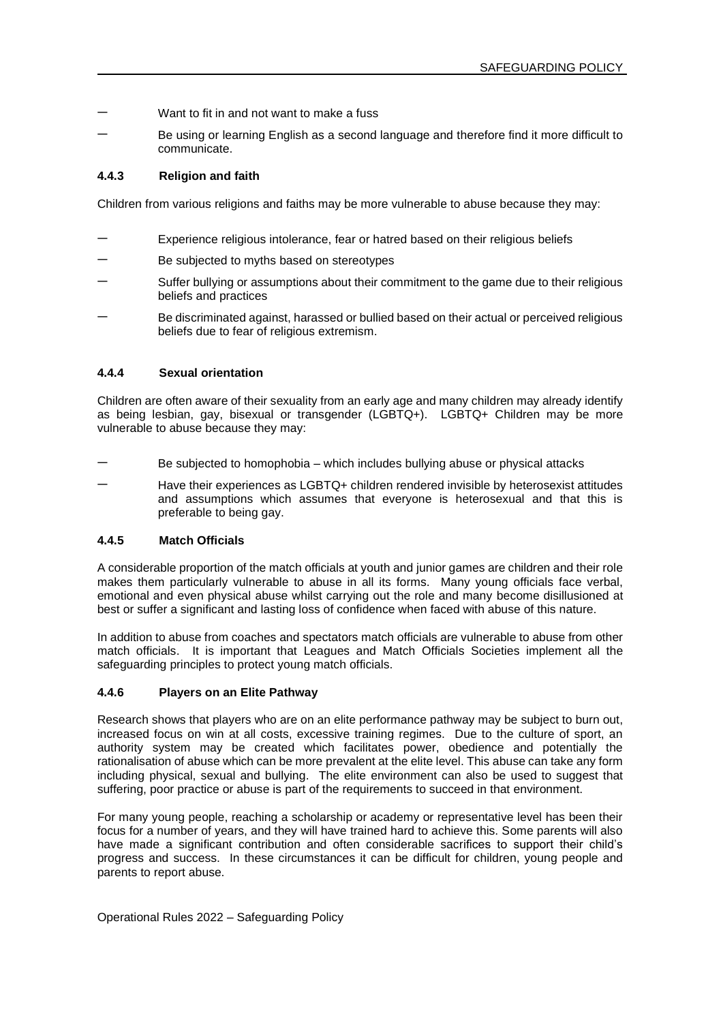- Want to fit in and not want to make a fuss
- Be using or learning English as a second language and therefore find it more difficult to communicate.

### **4.4.3 Religion and faith**

Children from various religions and faiths may be more vulnerable to abuse because they may:

- Experience religious intolerance, fear or hatred based on their religious beliefs
- Be subjected to myths based on stereotypes
- Suffer bullying or assumptions about their commitment to the game due to their religious beliefs and practices
- Be discriminated against, harassed or bullied based on their actual or perceived religious beliefs due to fear of religious extremism.

### **4.4.4 Sexual orientation**

Children are often aware of their sexuality from an early age and many children may already identify as being lesbian, gay, bisexual or transgender (LGBTQ+). LGBTQ+ Children may be more vulnerable to abuse because they may:

- Be subjected to homophobia which includes bullying abuse or physical attacks
- Have their experiences as LGBTQ+ children rendered invisible by heterosexist attitudes and assumptions which assumes that everyone is heterosexual and that this is preferable to being gay.

## **4.4.5 Match Officials**

A considerable proportion of the match officials at youth and junior games are children and their role makes them particularly vulnerable to abuse in all its forms. Many young officials face verbal, emotional and even physical abuse whilst carrying out the role and many become disillusioned at best or suffer a significant and lasting loss of confidence when faced with abuse of this nature.

In addition to abuse from coaches and spectators match officials are vulnerable to abuse from other match officials. It is important that Leagues and Match Officials Societies implement all the safeguarding principles to protect young match officials.

### **4.4.6 Players on an Elite Pathway**

Research shows that players who are on an elite performance pathway may be subject to burn out, increased focus on win at all costs, excessive training regimes. Due to the culture of sport, an authority system may be created which facilitates power, obedience and potentially the rationalisation of abuse which can be more prevalent at the elite level. This abuse can take any form including physical, sexual and bullying. The elite environment can also be used to suggest that suffering, poor practice or abuse is part of the requirements to succeed in that environment.

For many young people, reaching a scholarship or academy or representative level has been their focus for a number of years, and they will have trained hard to achieve this. Some parents will also have made a significant contribution and often considerable sacrifices to support their child's progress and success. In these circumstances it can be difficult for children, young people and parents to report abuse.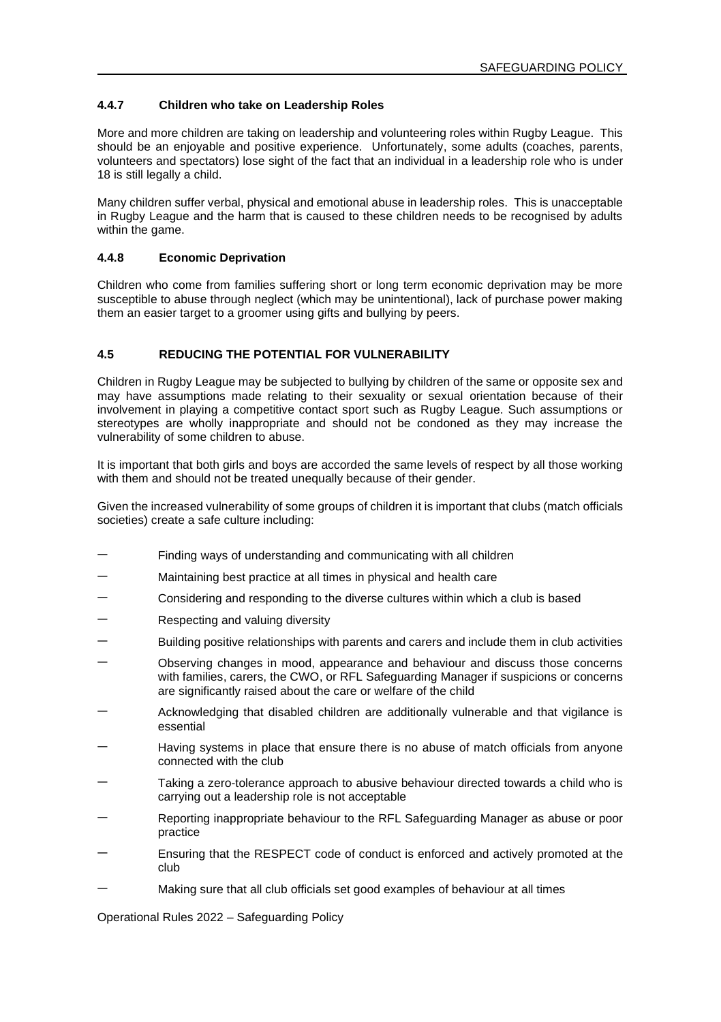## **4.4.7 Children who take on Leadership Roles**

More and more children are taking on leadership and volunteering roles within Rugby League. This should be an enjoyable and positive experience. Unfortunately, some adults (coaches, parents, volunteers and spectators) lose sight of the fact that an individual in a leadership role who is under 18 is still legally a child.

Many children suffer verbal, physical and emotional abuse in leadership roles. This is unacceptable in Rugby League and the harm that is caused to these children needs to be recognised by adults within the game.

### **4.4.8 Economic Deprivation**

Children who come from families suffering short or long term economic deprivation may be more susceptible to abuse through neglect (which may be unintentional), lack of purchase power making them an easier target to a groomer using gifts and bullying by peers.

## **4.5 REDUCING THE POTENTIAL FOR VULNERABILITY**

Children in Rugby League may be subjected to bullying by children of the same or opposite sex and may have assumptions made relating to their sexuality or sexual orientation because of their involvement in playing a competitive contact sport such as Rugby League. Such assumptions or stereotypes are wholly inappropriate and should not be condoned as they may increase the vulnerability of some children to abuse.

It is important that both girls and boys are accorded the same levels of respect by all those working with them and should not be treated unequally because of their gender.

Given the increased vulnerability of some groups of children it is important that clubs (match officials societies) create a safe culture including:

- Findina ways of understanding and communicating with all children
- Maintaining best practice at all times in physical and health care
- − Considering and responding to the diverse cultures within which a club is based
- − Respecting and valuing diversity
- Building positive relationships with parents and carers and include them in club activities
- − Observing changes in mood, appearance and behaviour and discuss those concerns with families, carers, the CWO, or RFL Safeguarding Manager if suspicions or concerns are significantly raised about the care or welfare of the child
- − Acknowledging that disabled children are additionally vulnerable and that vigilance is essential
- Having systems in place that ensure there is no abuse of match officials from anyone connected with the club
- − Taking a zero-tolerance approach to abusive behaviour directed towards a child who is carrying out a leadership role is not acceptable
- Reporting inappropriate behaviour to the RFL Safeguarding Manager as abuse or poor practice
- Ensuring that the RESPECT code of conduct is enforced and actively promoted at the club
- Making sure that all club officials set good examples of behaviour at all times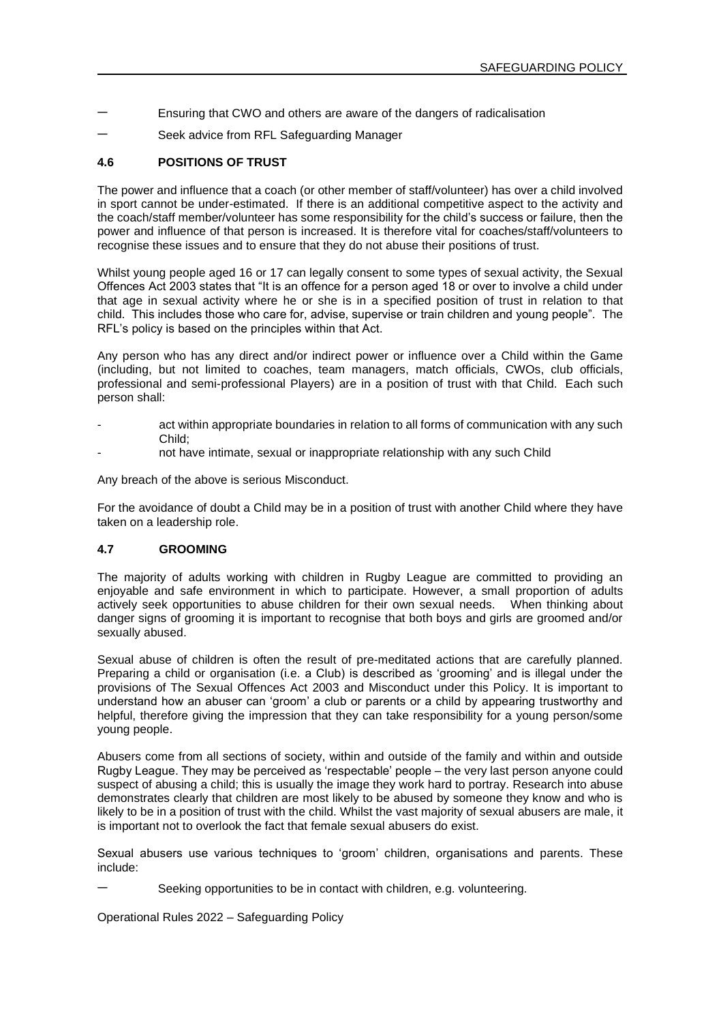- − Ensuring that CWO and others are aware of the dangers of radicalisation
- Seek advice from RFL Safeguarding Manager

### **4.6 POSITIONS OF TRUST**

The power and influence that a coach (or other member of staff/volunteer) has over a child involved in sport cannot be under-estimated. If there is an additional competitive aspect to the activity and the coach/staff member/volunteer has some responsibility for the child's success or failure, then the power and influence of that person is increased. It is therefore vital for coaches/staff/volunteers to recognise these issues and to ensure that they do not abuse their positions of trust.

Whilst young people aged 16 or 17 can legally consent to some types of sexual activity, the Sexual Offences Act 2003 states that "It is an offence for a person aged 18 or over to involve a child under that age in sexual activity where he or she is in a specified position of trust in relation to that child. This includes those who care for, advise, supervise or train children and young people". The RFL's policy is based on the principles within that Act.

Any person who has any direct and/or indirect power or influence over a Child within the Game (including, but not limited to coaches, team managers, match officials, CWOs, club officials, professional and semi-professional Players) are in a position of trust with that Child. Each such person shall:

- act within appropriate boundaries in relation to all forms of communication with any such Child;
- not have intimate, sexual or inappropriate relationship with any such Child

Any breach of the above is serious Misconduct.

For the avoidance of doubt a Child may be in a position of trust with another Child where they have taken on a leadership role.

#### **4.7 GROOMING**

The majority of adults working with children in Rugby League are committed to providing an enjoyable and safe environment in which to participate. However, a small proportion of adults actively seek opportunities to abuse children for their own sexual needs. When thinking about danger signs of grooming it is important to recognise that both boys and girls are groomed and/or sexually abused

Sexual abuse of children is often the result of pre-meditated actions that are carefully planned. Preparing a child or organisation (i.e. a Club) is described as 'grooming' and is illegal under the provisions of The Sexual Offences Act 2003 and Misconduct under this Policy. It is important to understand how an abuser can 'groom' a club or parents or a child by appearing trustworthy and helpful, therefore giving the impression that they can take responsibility for a young person/some young people.

Abusers come from all sections of society, within and outside of the family and within and outside Rugby League. They may be perceived as 'respectable' people – the very last person anyone could suspect of abusing a child; this is usually the image they work hard to portray. Research into abuse demonstrates clearly that children are most likely to be abused by someone they know and who is likely to be in a position of trust with the child. Whilst the vast majority of sexual abusers are male, it is important not to overlook the fact that female sexual abusers do exist.

Sexual abusers use various techniques to 'groom' children, organisations and parents. These include:

Seeking opportunities to be in contact with children, e.g. volunteering.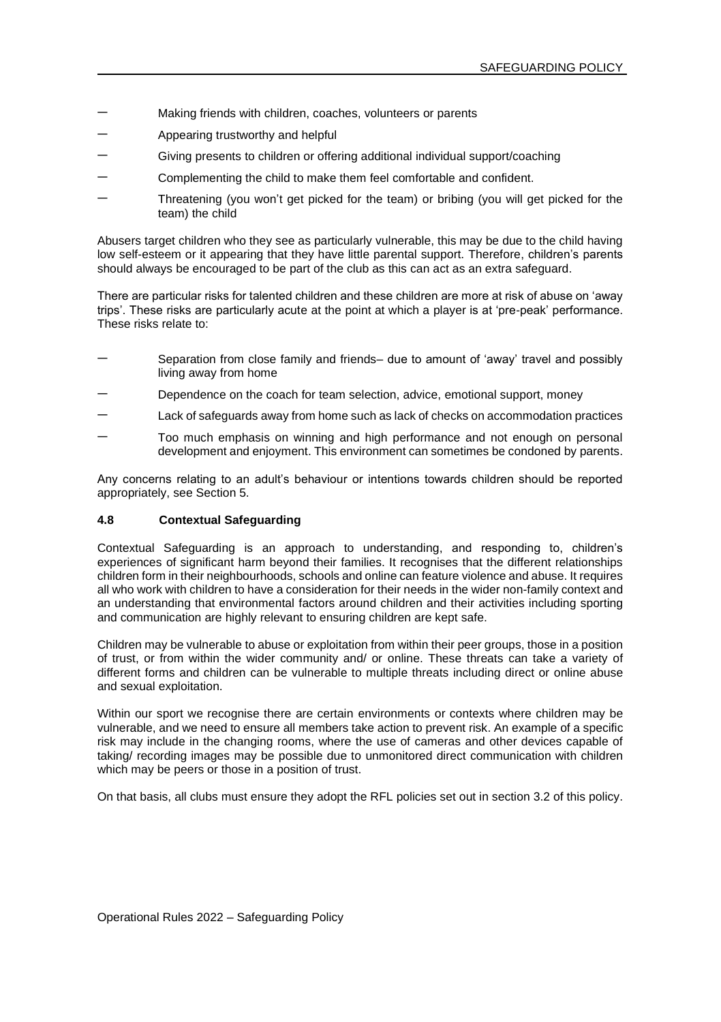- Making friends with children, coaches, volunteers or parents
- − Appearing trustworthy and helpful
- Giving presents to children or offering additional individual support/coaching
- Complementing the child to make them feel comfortable and confident.
- Threatening (you won't get picked for the team) or bribing (you will get picked for the team) the child

Abusers target children who they see as particularly vulnerable, this may be due to the child having low self-esteem or it appearing that they have little parental support. Therefore, children's parents should always be encouraged to be part of the club as this can act as an extra safeguard.

There are particular risks for talented children and these children are more at risk of abuse on 'away trips'. These risks are particularly acute at the point at which a player is at 'pre-peak' performance. These risks relate to:

- Separation from close family and friends– due to amount of 'away' travel and possibly living away from home
- Dependence on the coach for team selection, advice, emotional support, money
- Lack of safeguards away from home such as lack of checks on accommodation practices
- Too much emphasis on winning and high performance and not enough on personal development and enjoyment. This environment can sometimes be condoned by parents.

Any concerns relating to an adult's behaviour or intentions towards children should be reported appropriately, see Section 5.

### **4.8 Contextual Safeguarding**

Contextual Safeguarding is an approach to understanding, and responding to, children's experiences of significant harm beyond their families. It recognises that the different relationships children form in their neighbourhoods, schools and online can feature violence and abuse. It requires all who work with children to have a consideration for their needs in the wider non-family context and an understanding that environmental factors around children and their activities including sporting and communication are highly relevant to ensuring children are kept safe.

Children may be vulnerable to abuse or exploitation from within their peer groups, those in a position of trust, or from within the wider community and/ or online. These threats can take a variety of different forms and children can be vulnerable to multiple threats including direct or online abuse and sexual exploitation.

Within our sport we recognise there are certain environments or contexts where children may be vulnerable, and we need to ensure all members take action to prevent risk. An example of a specific risk may include in the changing rooms, where the use of cameras and other devices capable of taking/ recording images may be possible due to unmonitored direct communication with children which may be peers or those in a position of trust.

On that basis, all clubs must ensure they adopt the RFL policies set out in section 3.2 of this policy.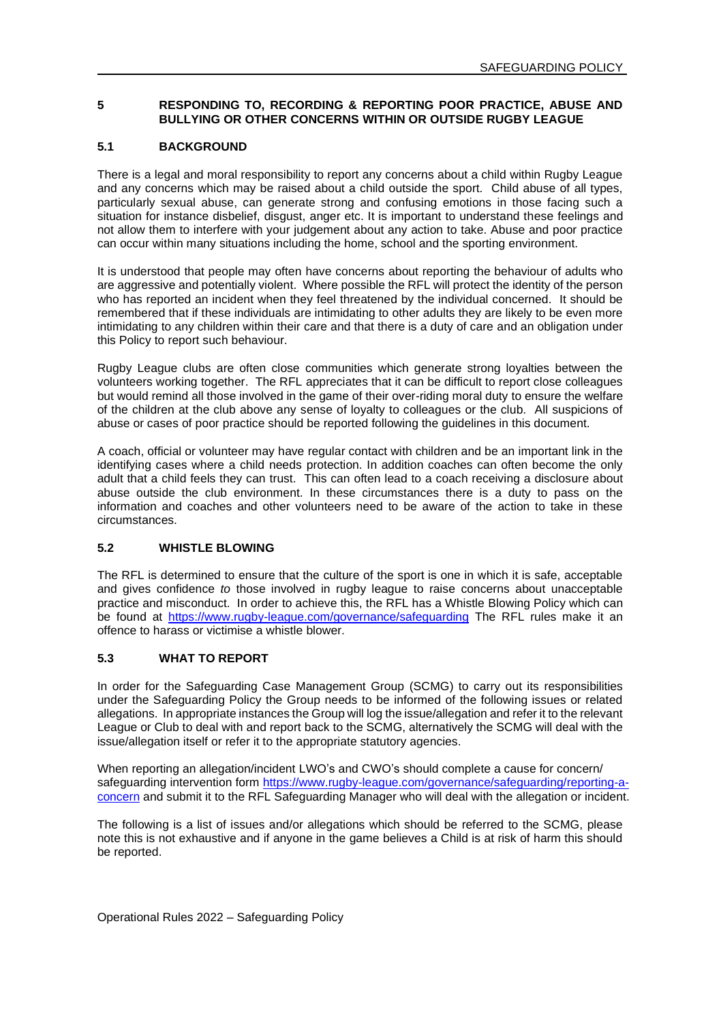### **5 RESPONDING TO, RECORDING & REPORTING POOR PRACTICE, ABUSE AND BULLYING OR OTHER CONCERNS WITHIN OR OUTSIDE RUGBY LEAGUE**

### **5.1 BACKGROUND**

There is a legal and moral responsibility to report any concerns about a child within Rugby League and any concerns which may be raised about a child outside the sport. Child abuse of all types, particularly sexual abuse, can generate strong and confusing emotions in those facing such a situation for instance disbelief, disgust, anger etc. It is important to understand these feelings and not allow them to interfere with your judgement about any action to take. Abuse and poor practice can occur within many situations including the home, school and the sporting environment.

It is understood that people may often have concerns about reporting the behaviour of adults who are aggressive and potentially violent. Where possible the RFL will protect the identity of the person who has reported an incident when they feel threatened by the individual concerned. It should be remembered that if these individuals are intimidating to other adults they are likely to be even more intimidating to any children within their care and that there is a duty of care and an obligation under this Policy to report such behaviour.

Rugby League clubs are often close communities which generate strong loyalties between the volunteers working together. The RFL appreciates that it can be difficult to report close colleagues but would remind all those involved in the game of their over-riding moral duty to ensure the welfare of the children at the club above any sense of loyalty to colleagues or the club. All suspicions of abuse or cases of poor practice should be reported following the guidelines in this document.

A coach, official or volunteer may have regular contact with children and be an important link in the identifying cases where a child needs protection. In addition coaches can often become the only adult that a child feels they can trust. This can often lead to a coach receiving a disclosure about abuse outside the club environment. In these circumstances there is a duty to pass on the information and coaches and other volunteers need to be aware of the action to take in these circumstances.

### **5.2 WHISTLE BLOWING**

The RFL is determined to ensure that the culture of the sport is one in which it is safe, acceptable and gives confidence *to* those involved in rugby league to raise concerns about unacceptable practice and misconduct. In order to achieve this, the RFL has a Whistle Blowing Policy which can be found at<https://www.rugby-league.com/governance/safeguarding> The RFL rules make it an offence to harass or victimise a whistle blower.

## **5.3 WHAT TO REPORT**

In order for the Safeguarding Case Management Group (SCMG) to carry out its responsibilities under the Safeguarding Policy the Group needs to be informed of the following issues or related allegations. In appropriate instances the Group will log the issue/allegation and refer it to the relevant League or Club to deal with and report back to the SCMG, alternatively the SCMG will deal with the issue/allegation itself or refer it to the appropriate statutory agencies.

When reporting an allegation/incident LWO's and CWO's should complete a cause for concern/ safeguarding intervention form [https://www.rugby-league.com/governance/safeguarding/reporting-a](https://www.rugby-league.com/governance/safeguarding/reporting-a-concern)[concern](https://www.rugby-league.com/governance/safeguarding/reporting-a-concern) and submit it to the RFL Safeguarding Manager who will deal with the allegation or incident.

The following is a list of issues and/or allegations which should be referred to the SCMG, please note this is not exhaustive and if anyone in the game believes a Child is at risk of harm this should be reported.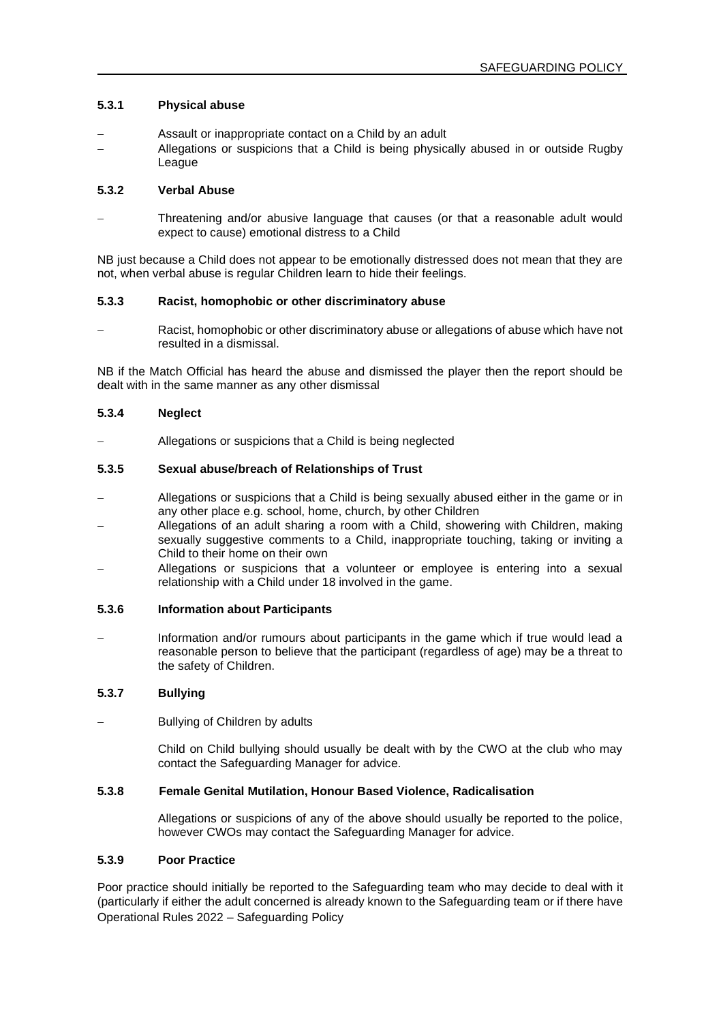### **5.3.1 Physical abuse**

- − Assault or inappropriate contact on a Child by an adult
- − Allegations or suspicions that a Child is being physically abused in or outside Rugby League

## **5.3.2 Verbal Abuse**

− Threatening and/or abusive language that causes (or that a reasonable adult would expect to cause) emotional distress to a Child

NB just because a Child does not appear to be emotionally distressed does not mean that they are not, when verbal abuse is regular Children learn to hide their feelings.

### **5.3.3 Racist, homophobic or other discriminatory abuse**

− Racist, homophobic or other discriminatory abuse or allegations of abuse which have not resulted in a dismissal.

NB if the Match Official has heard the abuse and dismissed the player then the report should be dealt with in the same manner as any other dismissal

### **5.3.4 Neglect**

− Allegations or suspicions that a Child is being neglected

# **5.3.5 Sexual abuse/breach of Relationships of Trust**

- − Allegations or suspicions that a Child is being sexually abused either in the game or in any other place e.g. school, home, church, by other Children
- − Allegations of an adult sharing a room with a Child, showering with Children, making sexually suggestive comments to a Child, inappropriate touching, taking or inviting a Child to their home on their own
- − Allegations or suspicions that a volunteer or employee is entering into a sexual relationship with a Child under 18 involved in the game.

### **5.3.6 Information about Participants**

Information and/or rumours about participants in the game which if true would lead a reasonable person to believe that the participant (regardless of age) may be a threat to the safety of Children.

# **5.3.7 Bullying**

Bullying of Children by adults

Child on Child bullying should usually be dealt with by the CWO at the club who may contact the Safeguarding Manager for advice.

### **5.3.8 Female Genital Mutilation, Honour Based Violence, Radicalisation**

Allegations or suspicions of any of the above should usually be reported to the police, however CWOs may contact the Safeguarding Manager for advice.

## **5.3.9 Poor Practice**

Operational Rules 2022 – Safeguarding Policy Poor practice should initially be reported to the Safeguarding team who may decide to deal with it (particularly if either the adult concerned is already known to the Safeguarding team or if there have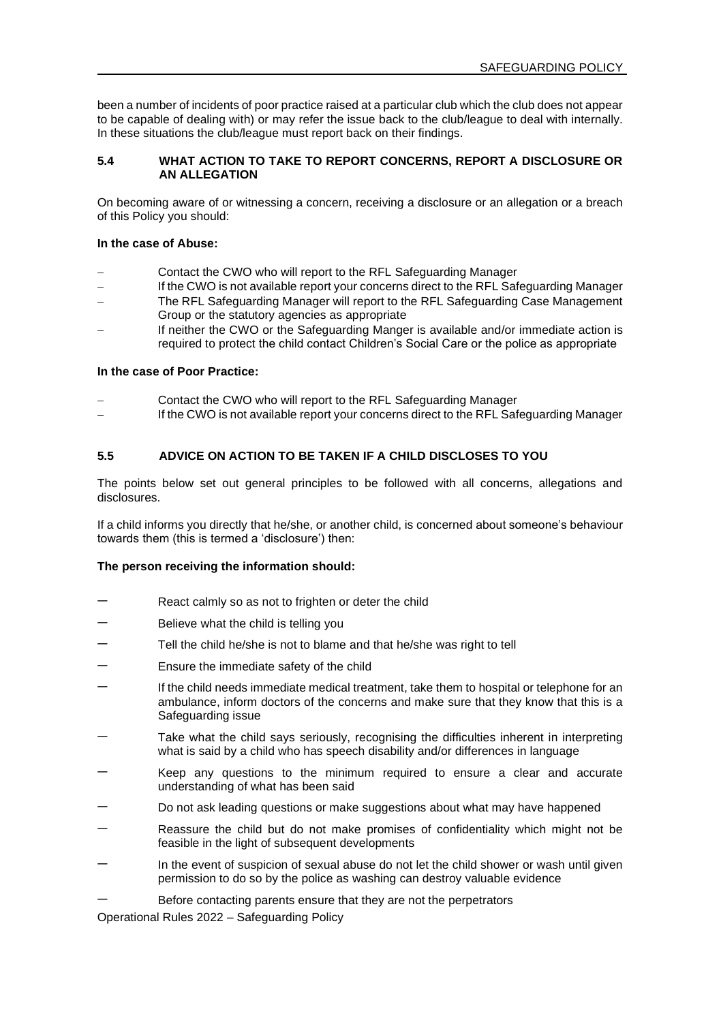been a number of incidents of poor practice raised at a particular club which the club does not appear to be capable of dealing with) or may refer the issue back to the club/league to deal with internally. In these situations the club/league must report back on their findings.

### **5.4 WHAT ACTION TO TAKE TO REPORT CONCERNS, REPORT A DISCLOSURE OR AN ALLEGATION**

On becoming aware of or witnessing a concern, receiving a disclosure or an allegation or a breach of this Policy you should:

#### **In the case of Abuse:**

- Contact the CWO who will report to the RFL Safeguarding Manager
- If the CWO is not available report your concerns direct to the RFL Safeguarding Manager
- − The RFL Safeguarding Manager will report to the RFL Safeguarding Case Management Group or the statutory agencies as appropriate
- − If neither the CWO or the Safeguarding Manger is available and/or immediate action is required to protect the child contact Children's Social Care or the police as appropriate

#### **In the case of Poor Practice:**

- − Contact the CWO who will report to the RFL Safeguarding Manager
- − If the CWO is not available report your concerns direct to the RFL Safeguarding Manager

## **5.5 ADVICE ON ACTION TO BE TAKEN IF A CHILD DISCLOSES TO YOU**

The points below set out general principles to be followed with all concerns, allegations and disclosures.

If a child informs you directly that he/she, or another child, is concerned about someone's behaviour towards them (this is termed a 'disclosure') then:

#### **The person receiving the information should:**

- React calmly so as not to frighten or deter the child
- Believe what the child is telling you
- − Tell the child he/she is not to blame and that he/she was right to tell
- Ensure the immediate safety of the child
- If the child needs immediate medical treatment, take them to hospital or telephone for an ambulance, inform doctors of the concerns and make sure that they know that this is a Safeguarding issue
- Take what the child says seriously, recognising the difficulties inherent in interpreting what is said by a child who has speech disability and/or differences in language
- Keep any questions to the minimum required to ensure a clear and accurate understanding of what has been said
- Do not ask leading questions or make suggestions about what may have happened
- Reassure the child but do not make promises of confidentiality which might not be feasible in the light of subsequent developments
- In the event of suspicion of sexual abuse do not let the child shower or wash until given permission to do so by the police as washing can destroy valuable evidence
- Before contacting parents ensure that they are not the perpetrators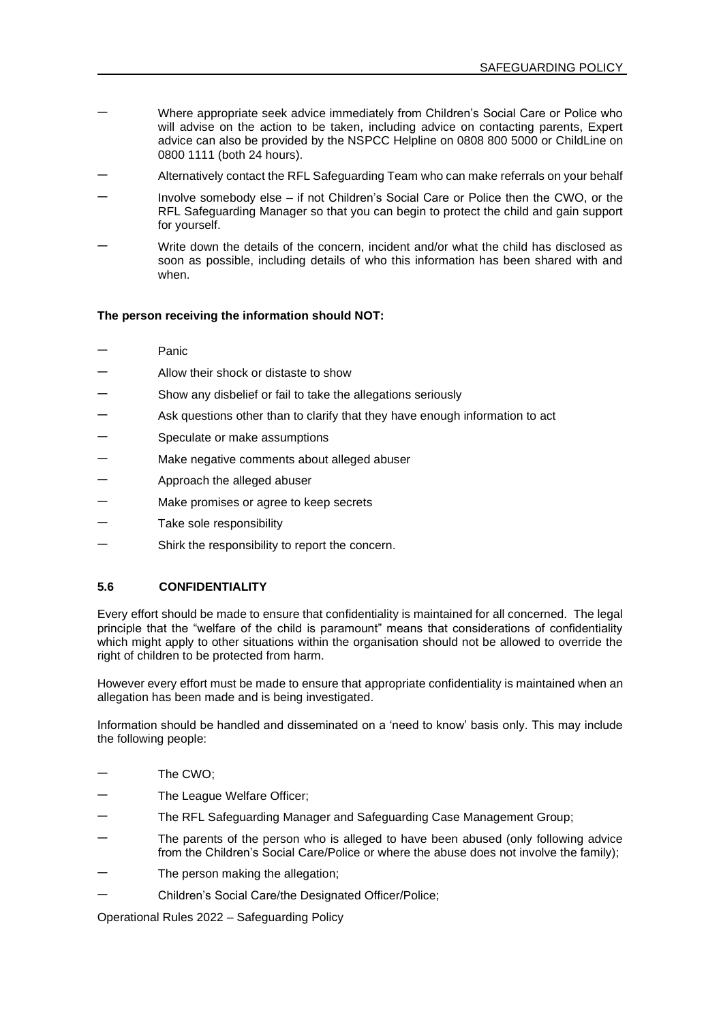- − Where appropriate seek advice immediately from Children's Social Care or Police who will advise on the action to be taken, including advice on contacting parents, Expert advice can also be provided by the NSPCC Helpline on 0808 800 5000 or ChildLine on 0800 1111 (both 24 hours).
- − Alternatively contact the RFL Safeguarding Team who can make referrals on your behalf
- − Involve somebody else if not Children's Social Care or Police then the CWO, or the RFL Safeguarding Manager so that you can begin to protect the child and gain support for yourself.
- Write down the details of the concern, incident and/or what the child has disclosed as soon as possible, including details of who this information has been shared with and when.

#### **The person receiving the information should NOT:**

- − Panic
- − Allow their shock or distaste to show
- Show any disbelief or fail to take the allegations seriously
- Ask questions other than to clarify that they have enough information to act
- Speculate or make assumptions
- Make negative comments about alleged abuser
- − Approach the alleged abuser
- Make promises or agree to keep secrets
- Take sole responsibility
- Shirk the responsibility to report the concern.

#### **5.6 CONFIDENTIALITY**

Every effort should be made to ensure that confidentiality is maintained for all concerned. The legal principle that the "welfare of the child is paramount" means that considerations of confidentiality which might apply to other situations within the organisation should not be allowed to override the right of children to be protected from harm.

However every effort must be made to ensure that appropriate confidentiality is maintained when an allegation has been made and is being investigated.

Information should be handled and disseminated on a 'need to know' basis only. This may include the following people:

- − The CWO;
- The League Welfare Officer;
- − The RFL Safeguarding Manager and Safeguarding Case Management Group;
- The parents of the person who is alleged to have been abused (only following advice from the Children's Social Care/Police or where the abuse does not involve the family);
- The person making the allegation:
- − Children's Social Care/the Designated Officer/Police;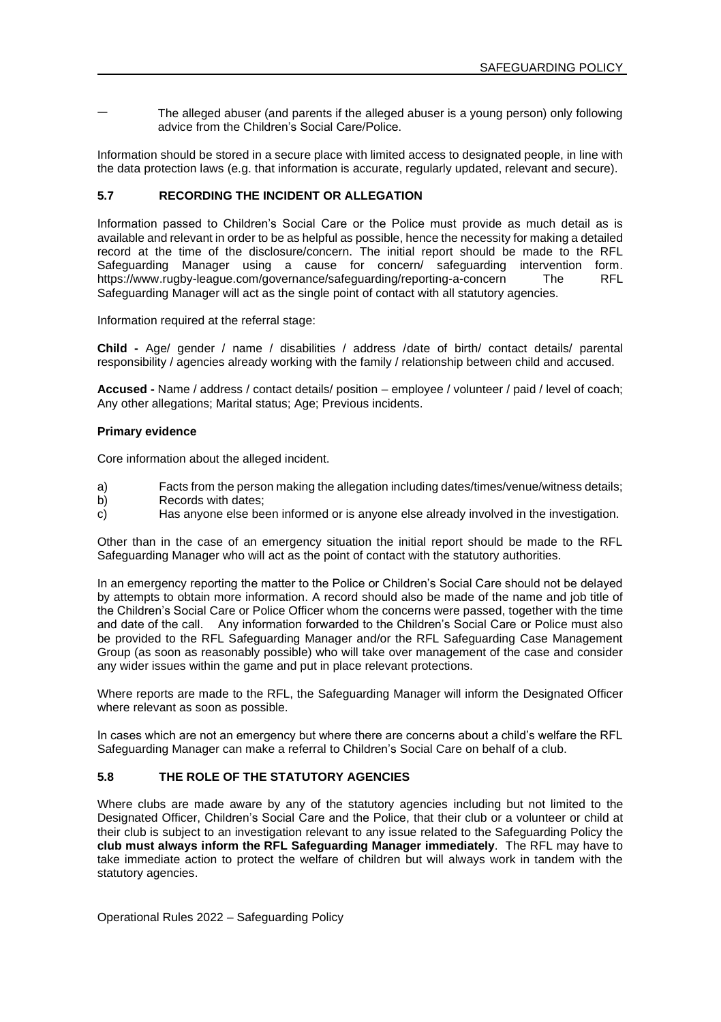The alleged abuser (and parents if the alleged abuser is a young person) only following advice from the Children's Social Care/Police.

Information should be stored in a secure place with limited access to designated people, in line with the data protection laws (e.g. that information is accurate, regularly updated, relevant and secure).

### **5.7 RECORDING THE INCIDENT OR ALLEGATION**

Information passed to Children's Social Care or the Police must provide as much detail as is available and relevant in order to be as helpful as possible, hence the necessity for making a detailed record at the time of the disclosure/concern. The initial report should be made to the RFL Safeguarding Manager using a cause for concern/ safeguarding intervention form. https://www.rugby-league.com/governance/safeguarding/reporting-a-concern The RFL Safeguarding Manager will act as the single point of contact with all statutory agencies.

Information required at the referral stage:

**Child -** Age/ gender / name / disabilities / address /date of birth/ contact details/ parental responsibility / agencies already working with the family / relationship between child and accused.

**Accused -** Name / address / contact details/ position – employee / volunteer / paid / level of coach; Any other allegations; Marital status; Age; Previous incidents.

#### **Primary evidence**

Core information about the alleged incident.

- a) Facts from the person making the allegation including dates/times/venue/witness details;
- b) Records with dates;
- c) Has anyone else been informed or is anyone else already involved in the investigation.

Other than in the case of an emergency situation the initial report should be made to the RFL Safeguarding Manager who will act as the point of contact with the statutory authorities.

In an emergency reporting the matter to the Police or Children's Social Care should not be delayed by attempts to obtain more information. A record should also be made of the name and job title of the Children's Social Care or Police Officer whom the concerns were passed, together with the time and date of the call. Any information forwarded to the Children's Social Care or Police must also be provided to the RFL Safeguarding Manager and/or the RFL Safeguarding Case Management Group (as soon as reasonably possible) who will take over management of the case and consider any wider issues within the game and put in place relevant protections.

Where reports are made to the RFL, the Safeguarding Manager will inform the Designated Officer where relevant as soon as possible.

In cases which are not an emergency but where there are concerns about a child's welfare the RFL Safeguarding Manager can make a referral to Children's Social Care on behalf of a club.

### **5.8 THE ROLE OF THE STATUTORY AGENCIES**

Where clubs are made aware by any of the statutory agencies including but not limited to the Designated Officer, Children's Social Care and the Police, that their club or a volunteer or child at their club is subject to an investigation relevant to any issue related to the Safeguarding Policy the **club must always inform the RFL Safeguarding Manager immediately**. The RFL may have to take immediate action to protect the welfare of children but will always work in tandem with the statutory agencies.